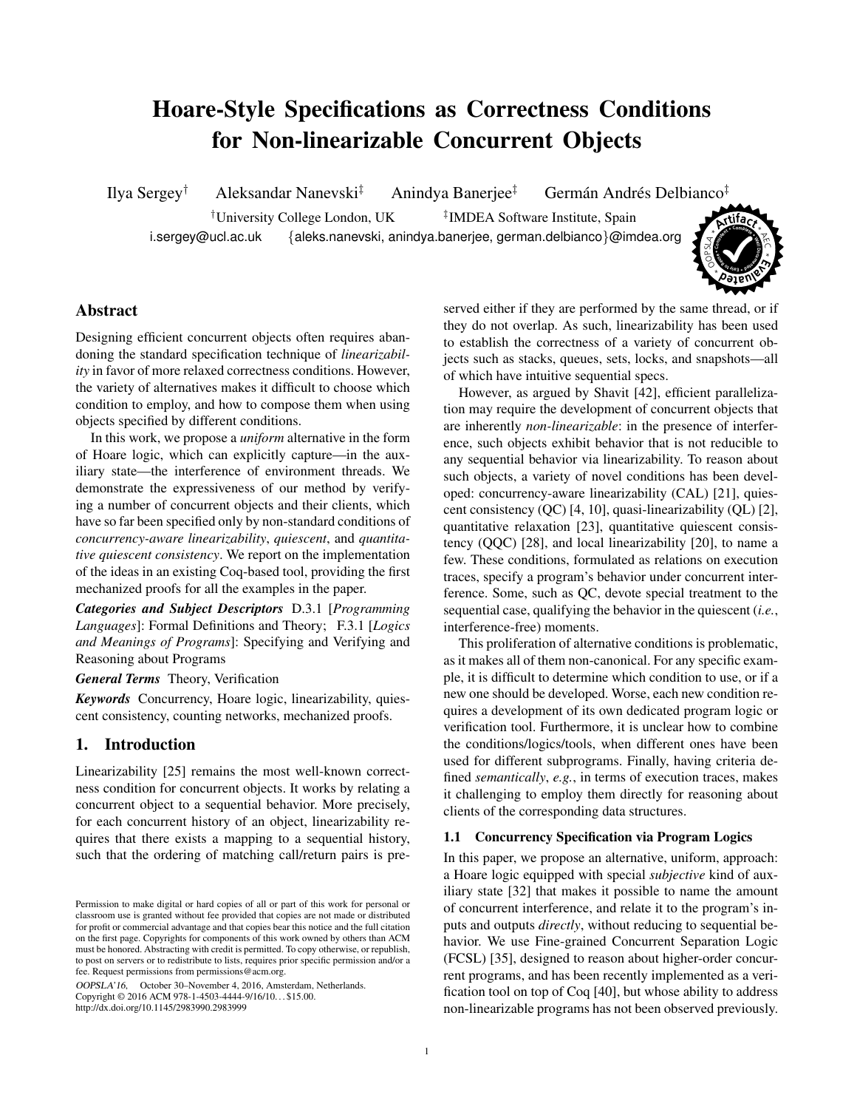# Hoare-Style Specifications as Correctness Conditions for Non-linearizable Concurrent Objects

\* **<sup>A</sup><sup>r</sup>tifac<sup>t</sup>** \* Ilya Sergey<sup>†</sup> Aleksandar Nanevski<sup>‡</sup> Anindya Banerjee<sup>‡</sup> Germán Andrés Delbianco<sup>‡</sup> †University College London, UK ‡ <sup>‡</sup>IMDEA Software Institute, Spain i.sergey@ucl.ac.uk {aleks.nanevski, anindya.banerjee, german.delbianco}@imdea.org

**fb**<br>**c**<sub>*d***</sub>**</sub> **<sup>t</sup> <sup>y</sup>sa<sup>E</sup> \* o Reuse E** \*  $^{\circ}$  $\sim$ n LA

**Well o** 

\*

AE C

# Abstract

Designing efficient concurrent objects often requires abandoning the standard specification technique of *linearizability* in favor of more relaxed correctness conditions. However, the variety of alternatives makes it difficult to choose which condition to employ, and how to compose them when using objects specified by different conditions.

In this work, we propose a *uniform* alternative in the form of Hoare logic, which can explicitly capture—in the auxiliary state—the interference of environment threads. We demonstrate the expressiveness of our method by verifying a number of concurrent objects and their clients, which have so far been specified only by non-standard conditions of *concurrency-aware linearizability*, *quiescent*, and *quantitative quiescent consistency*. We report on the implementation of the ideas in an existing Coq-based tool, providing the first mechanized proofs for all the examples in the paper.

*Categories and Subject Descriptors* D.3.1 [*Programming Languages*]: Formal Definitions and Theory; F.3.1 [*Logics and Meanings of Programs*]: Specifying and Verifying and Reasoning about Programs

*General Terms* Theory, Verification

*Keywords* Concurrency, Hoare logic, linearizability, quiescent consistency, counting networks, mechanized proofs.

# 1. Introduction

Linearizability [\[25\]](#page-17-0) remains the most well-known correctness condition for concurrent objects. It works by relating a concurrent object to a sequential behavior. More precisely, for each concurrent history of an object, linearizability requires that there exists a mapping to a sequential history, such that the ordering of matching call/return pairs is pre-

OOPSLA'16, October 30–November 4, 2016, Amsterdam, Netherlands. Copyright © 2016 ACM 978-1-4503-4444-9/16/10... \$15.00. http://dx.doi.org/10.1145/2983990.2983999

served either if they are performed by the same thread, or if they do not overlap. As such, linearizability has been used to establish the correctness of a variety of concurrent objects such as stacks, queues, sets, locks, and snapshots—all of which have intuitive sequential specs.

However, as argued by Shavit [\[42\]](#page-18-0), efficient parallelization may require the development of concurrent objects that are inherently *non-linearizable*: in the presence of interference, such objects exhibit behavior that is not reducible to any sequential behavior via linearizability. To reason about such objects, a variety of novel conditions has been developed: concurrency-aware linearizability (CAL) [\[21\]](#page-17-1), quiescent consistency (QC) [\[4,](#page-17-2) [10\]](#page-17-3), quasi-linearizability (QL) [\[2\]](#page-17-4), quantitative relaxation [\[23\]](#page-17-5), quantitative quiescent consistency (QQC) [\[28\]](#page-17-6), and local linearizability [\[20\]](#page-17-7), to name a few. These conditions, formulated as relations on execution traces, specify a program's behavior under concurrent interference. Some, such as QC, devote special treatment to the sequential case, qualifying the behavior in the quiescent (*i.e.*, interference-free) moments.

This proliferation of alternative conditions is problematic, as it makes all of them non-canonical. For any specific example, it is difficult to determine which condition to use, or if a new one should be developed. Worse, each new condition requires a development of its own dedicated program logic or verification tool. Furthermore, it is unclear how to combine the conditions/logics/tools, when different ones have been used for different subprograms. Finally, having criteria defined *semantically*, *e.g.*, in terms of execution traces, makes it challenging to employ them directly for reasoning about clients of the corresponding data structures.

#### 1.1 Concurrency Specification via Program Logics

In this paper, we propose an alternative, uniform, approach: a Hoare logic equipped with special *subjective* kind of auxiliary state [\[32\]](#page-17-8) that makes it possible to name the amount of concurrent interference, and relate it to the program's inputs and outputs *directly*, without reducing to sequential behavior. We use Fine-grained Concurrent Separation Logic (FCSL) [\[35\]](#page-17-9), designed to reason about higher-order concurrent programs, and has been recently implemented as a verification tool on top of Coq [\[40\]](#page-18-1), but whose ability to address non-linearizable programs has not been observed previously.

Permission to make digital or hard copies of all or part of this work for personal or classroom use is granted without fee provided that copies are not made or distributed for profit or commercial advantage and that copies bear this notice and the full citation on the first page. Copyrights for components of this work owned by others than ACM must be honored. Abstracting with credit is permitted. To copy otherwise, or republish, to post on servers or to redistribute to lists, requires prior specific permission and/or a fee. Request permissions from permissions@acm.org.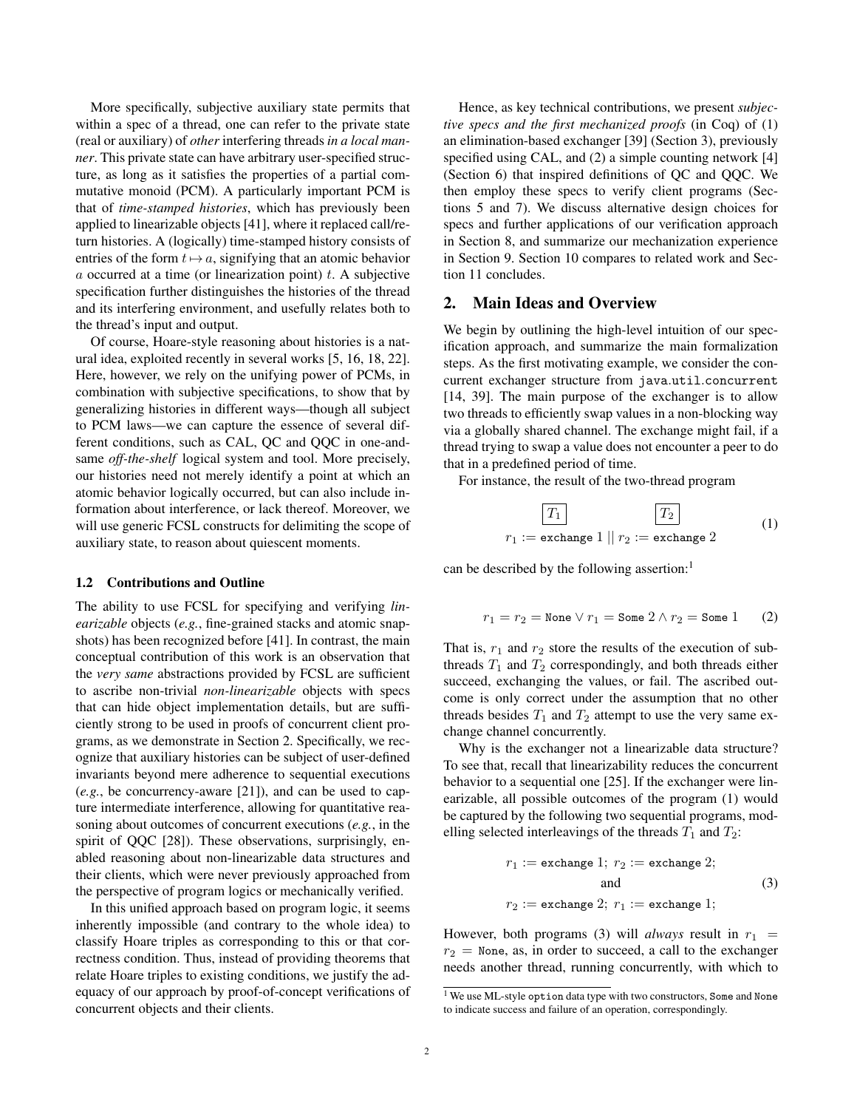More specifically, subjective auxiliary state permits that within a spec of a thread, one can refer to the private state (real or auxiliary) of *other* interfering threads *in a local manner*. This private state can have arbitrary user-specified structure, as long as it satisfies the properties of a partial commutative monoid (PCM). A particularly important PCM is that of *time-stamped histories*, which has previously been applied to linearizable objects [\[41\]](#page-18-2), where it replaced call/return histories. A (logically) time-stamped history consists of entries of the form  $t\mapsto a$ , signifying that an atomic behavior  $a$  occurred at a time (or linearization point)  $t$ . A subjective specification further distinguishes the histories of the thread and its interfering environment, and usefully relates both to the thread's input and output.

Of course, Hoare-style reasoning about histories is a natural idea, exploited recently in several works [\[5,](#page-17-10) [16,](#page-17-11) [18,](#page-17-12) [22\]](#page-17-13). Here, however, we rely on the unifying power of PCMs, in combination with subjective specifications, to show that by generalizing histories in different ways—though all subject to PCM laws—we can capture the essence of several different conditions, such as CAL, QC and QQC in one-andsame *off-the-shelf* logical system and tool. More precisely, our histories need not merely identify a point at which an atomic behavior logically occurred, but can also include information about interference, or lack thereof. Moreover, we will use generic FCSL constructs for delimiting the scope of auxiliary state, to reason about quiescent moments.

#### 1.2 Contributions and Outline

The ability to use FCSL for specifying and verifying *linearizable* objects (*e.g.*, fine-grained stacks and atomic snapshots) has been recognized before [\[41\]](#page-18-2). In contrast, the main conceptual contribution of this work is an observation that the *very same* abstractions provided by FCSL are sufficient to ascribe non-trivial *non-linearizable* objects with specs that can hide object implementation details, but are sufficiently strong to be used in proofs of concurrent client programs, as we demonstrate in Section [2.](#page-1-0) Specifically, we recognize that auxiliary histories can be subject of user-defined invariants beyond mere adherence to sequential executions (*e.g.*, be concurrency-aware [\[21\]](#page-17-1)), and can be used to capture intermediate interference, allowing for quantitative reasoning about outcomes of concurrent executions (*e.g.*, in the spirit of QQC [\[28\]](#page-17-6)). These observations, surprisingly, enabled reasoning about non-linearizable data structures and their clients, which were never previously approached from the perspective of program logics or mechanically verified.

In this unified approach based on program logic, it seems inherently impossible (and contrary to the whole idea) to classify Hoare triples as corresponding to this or that correctness condition. Thus, instead of providing theorems that relate Hoare triples to existing conditions, we justify the adequacy of our approach by proof-of-concept verifications of concurrent objects and their clients.

Hence, as key technical contributions, we present *subjective specs and the first mechanized proofs* (in Coq) of (1) an elimination-based exchanger [\[39\]](#page-17-14) (Section [3\)](#page-5-0), previously specified using CAL, and (2) a simple counting network [\[4\]](#page-17-2) (Section [6\)](#page-8-0) that inspired definitions of QC and QQC. We then employ these specs to verify client programs (Sections [5](#page-7-0) and [7\)](#page-11-0). We discuss alternative design choices for specs and further applications of our verification approach in Section [8,](#page-13-0) and summarize our mechanization experience in Section [9.](#page-14-0) Section [10](#page-14-1) compares to related work and Section [11](#page-15-0) concludes.

## <span id="page-1-0"></span>2. Main Ideas and Overview

We begin by outlining the high-level intuition of our specification approach, and summarize the main formalization steps. As the first motivating example, we consider the concurrent exchanger structure from java.util.concurrent [\[14,](#page-17-15) [39\]](#page-17-14). The main purpose of the exchanger is to allow two threads to efficiently swap values in a non-blocking way via a globally shared channel. The exchange might fail, if a thread trying to swap a value does not encounter a peer to do that in a predefined period of time.

For instance, the result of the two-thread program

<span id="page-1-2"></span>
$$
\boxed{T_1}
$$
\n
$$
r_1 := \text{exchange 1} || r_2 := \text{exchange 2}
$$
\n
$$
(1)
$$

can be described by the following assertion:<sup>[1](#page-1-1)</sup>

$$
r_1 = r_2 = \text{None} \lor r_1 = \text{Some } 2 \land r_2 = \text{Some } 1 \qquad (2)
$$

That is,  $r_1$  and  $r_2$  store the results of the execution of subthreads  $T_1$  and  $T_2$  correspondingly, and both threads either succeed, exchanging the values, or fail. The ascribed outcome is only correct under the assumption that no other threads besides  $T_1$  and  $T_2$  attempt to use the very same exchange channel concurrently.

Why is the exchanger not a linearizable data structure? To see that, recall that linearizability reduces the concurrent behavior to a sequential one [\[25\]](#page-17-0). If the exchanger were linearizable, all possible outcomes of the program [\(1\)](#page-1-2) would be captured by the following two sequential programs, modelling selected interleavings of the threads  $T_1$  and  $T_2$ :

<span id="page-1-3"></span>
$$
r_1 := \text{exchange 1}; r_2 := \text{exchange 2};
$$
  
and  

$$
r_2 := \text{exchange 2}; r_1 := \text{exchange 1};
$$
  
(3)

However, both programs [\(3\)](#page-1-3) will *always* result in  $r_1$  =  $r_2$  = None, as, in order to succeed, a call to the exchanger needs another thread, running concurrently, with which to

<span id="page-1-1"></span><sup>&</sup>lt;sup>1</sup> We use ML-style option data type with two constructors, Some and None to indicate success and failure of an operation, correspondingly.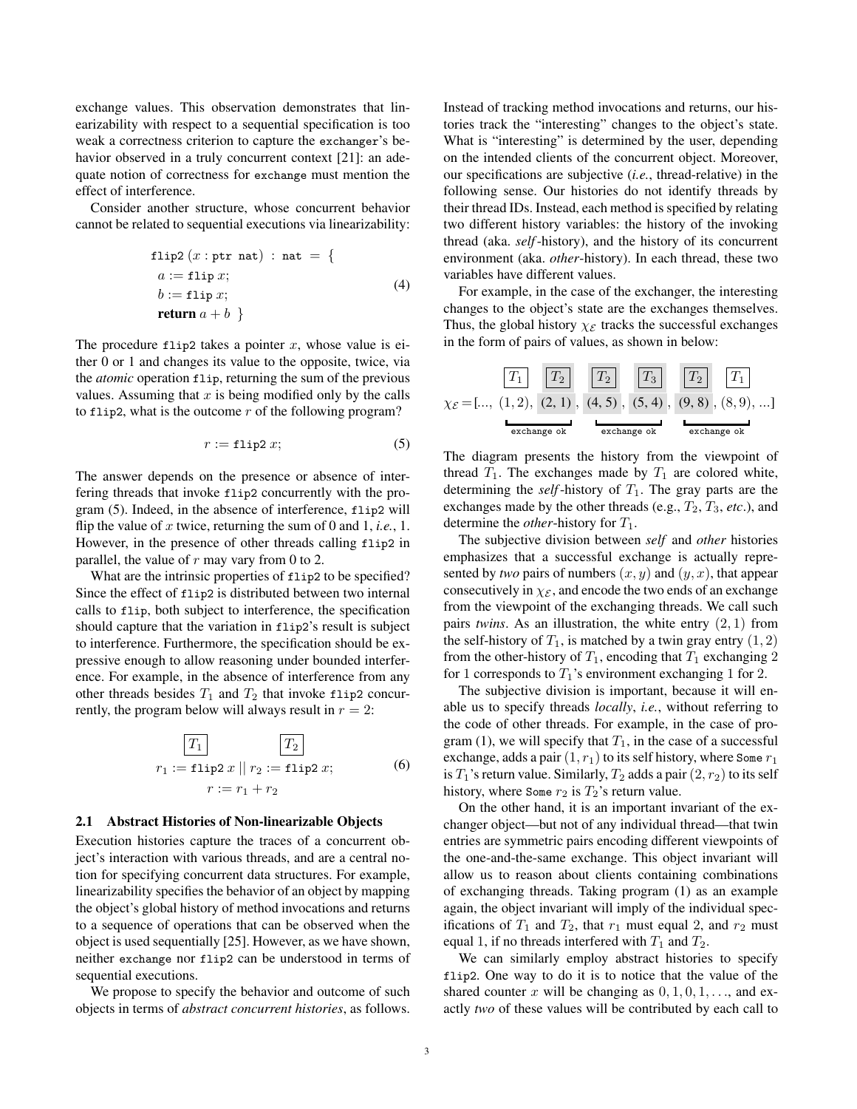exchange values. This observation demonstrates that linearizability with respect to a sequential specification is too weak a correctness criterion to capture the exchanger's be-havior observed in a truly concurrent context [\[21\]](#page-17-1): an adequate notion of correctness for exchange must mention the effect of interference.

Consider another structure, whose concurrent behavior cannot be related to sequential executions via linearizability:

$$
flip2 (x : ptr nat) : nat = \{
$$
  
\n
$$
a := flip x;
$$
  
\n
$$
b := flip x;
$$
  
\nreturn  $a + b$  } (4)

The procedure flip2 takes a pointer  $x$ , whose value is either 0 or 1 and changes its value to the opposite, twice, via the *atomic* operation flip, returning the sum of the previous values. Assuming that  $x$  is being modified only by the calls to flip2, what is the outcome  $r$  of the following program?

$$
r := \text{flip2 } x; \tag{5}
$$

The answer depends on the presence or absence of interfering threads that invoke flip2 concurrently with the program [\(5\)](#page-2-0). Indeed, in the absence of interference, flip2 will flip the value of x twice, returning the sum of 0 and 1, *i.e.*, 1. However, in the presence of other threads calling flip2 in parallel, the value of  $r$  may vary from 0 to 2.

What are the intrinsic properties of  $flip2$  to be specified? Since the effect of flip2 is distributed between two internal calls to flip, both subject to interference, the specification should capture that the variation in flip2's result is subject to interference. Furthermore, the specification should be expressive enough to allow reasoning under bounded interference. For example, in the absence of interference from any other threads besides  $T_1$  and  $T_2$  that invoke flip2 concurrently, the program below will always result in  $r = 2$ :

$$
\boxed{T_1}
$$
\n
$$
r_1 := \text{flip2 } x \parallel r_2 := \text{flip2 } x;
$$
\n
$$
r := r_1 + r_2
$$
\n(6)

#### <span id="page-2-2"></span>2.1 Abstract Histories of Non-linearizable Objects

Execution histories capture the traces of a concurrent object's interaction with various threads, and are a central notion for specifying concurrent data structures. For example, linearizability specifies the behavior of an object by mapping the object's global history of method invocations and returns to a sequence of operations that can be observed when the object is used sequentially [\[25\]](#page-17-0). However, as we have shown, neither exchange nor flip2 can be understood in terms of sequential executions.

We propose to specify the behavior and outcome of such objects in terms of *abstract concurrent histories*, as follows.

Instead of tracking method invocations and returns, our histories track the "interesting" changes to the object's state. What is "interesting" is determined by the user, depending on the intended clients of the concurrent object. Moreover, our specifications are subjective (*i.e.*, thread-relative) in the following sense. Our histories do not identify threads by their thread IDs. Instead, each method is specified by relating two different history variables: the history of the invoking thread (aka. *self*-history), and the history of its concurrent environment (aka. *other*-history). In each thread, these two variables have different values.

For example, in the case of the exchanger, the interesting changes to the object's state are the exchanges themselves. Thus, the global history  $\chi_{\mathcal{E}}$  tracks the successful exchanges in the form of pairs of values, as shown in below:

$$
\chi_{\mathcal{E}} = [\dots, (1, 2), (2, 1), (4, 5), (5, 4), (9, 8), (8, 9), \dots]
$$
\nExample 1.1.1

\nExample 2.1.1.2

\nExample 3.1.1.1.2

\nExample 4.1.1.2

\nExample 5.1.1.2

\nExample 6.1.1.2

\nExample 6.1.1.2

\nExample 7.1.2

\nExample 8.1.2

\nExample 9.1.2

\nExample 1.1.2

\nExample 1.1.2

\nExample 1.1.2

\nExample 1.1.2

\nExample 2.1.2

\nExample 3.1.2

\nExample 4.1.2

\nExample 5.1.2

\nExample 6.1.2

\nExample 1.1.2

\nExample 1.1.2

\nExample 1.1.2

\nExample 1.1.2

\nExample 2.1.2

\nExample 3.1.2

\nExample 4.1.2

\nExample 5.1.2

\nExample 6.1.2

\nExample 1.1.2

\nExample 1.1.2

\nExample 1.1.2

\nExample 1.1.2

\nExample 2.1.2

\nExample 3.1.2

\nExample 4.1.2

\nExample 5.1.2

\nExample 6.1.2

\nExample 1.1.2

\nExample 1.1.2

\nExample 1.1.2

\nExample 1.1.2

\nExample 2.1.2

\nExample 3.1.2

\nExample 4.1.2

\nExample 5.1.2

\nExample 6.1.2

\nExample 1.1.2

\nExample 1.1.2

\nExample 1.1.2

\nExample 1.1.2

\nExample 1.1.2

\nExample 1.1.2

\nExample 1.1.2

\n

<span id="page-2-0"></span>The diagram presents the history from the viewpoint of thread  $T_1$ . The exchanges made by  $T_1$  are colored white, determining the *self*-history of  $T_1$ . The gray parts are the exchanges made by the other threads (e.g.,  $T_2$ ,  $T_3$ , *etc.*), and determine the *other*-history for  $T_1$ .

The subjective division between *self* and *other* histories emphasizes that a successful exchange is actually represented by *two* pairs of numbers  $(x, y)$  and  $(y, x)$ , that appear consecutively in  $\chi_{\mathcal{E}}$ , and encode the two ends of an exchange from the viewpoint of the exchanging threads. We call such pairs *twins*. As an illustration, the white entry (2, 1) from the self-history of  $T_1$ , is matched by a twin gray entry  $(1, 2)$ from the other-history of  $T_1$ , encoding that  $T_1$  exchanging 2 for 1 corresponds to  $T_1$ 's environment exchanging 1 for 2.

The subjective division is important, because it will enable us to specify threads *locally*, *i.e.*, without referring to the code of other threads. For example, in the case of pro-gram [\(1\)](#page-1-2), we will specify that  $T_1$ , in the case of a successful exchange, adds a pair  $(1, r_1)$  to its self history, where Some  $r_1$ is  $T_1$ 's return value. Similarly,  $T_2$  adds a pair  $(2, r_2)$  to its self history, where Some  $r_2$  is  $T_2$ 's return value.

<span id="page-2-1"></span>On the other hand, it is an important invariant of the exchanger object—but not of any individual thread—that twin entries are symmetric pairs encoding different viewpoints of the one-and-the-same exchange. This object invariant will allow us to reason about clients containing combinations of exchanging threads. Taking program [\(1\)](#page-1-2) as an example again, the object invariant will imply of the individual specifications of  $T_1$  and  $T_2$ , that  $r_1$  must equal 2, and  $r_2$  must equal 1, if no threads interfered with  $T_1$  and  $T_2$ .

We can similarly employ abstract histories to specify flip2. One way to do it is to notice that the value of the shared counter x will be changing as  $0, 1, 0, 1, \ldots$ , and exactly *two* of these values will be contributed by each call to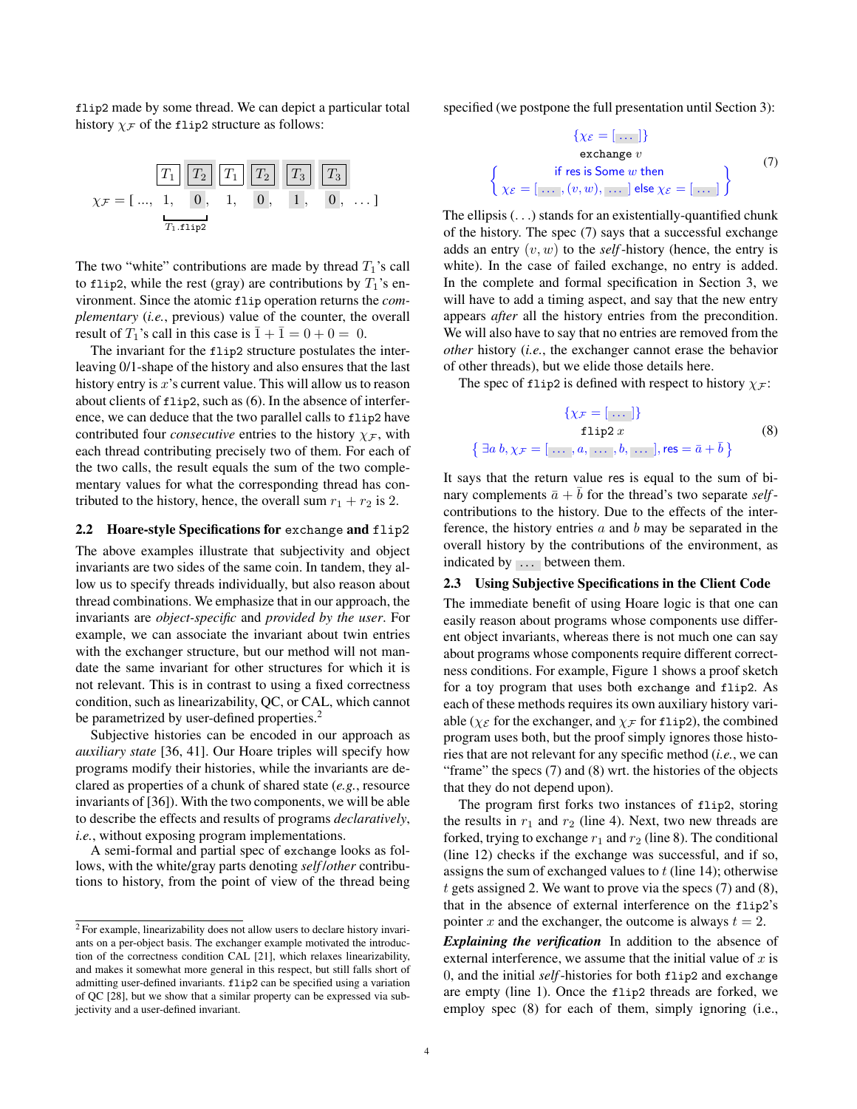flip2 made by some thread. We can depict a particular total history  $\chi_F$  of the flip2 structure as follows:



The two "white" contributions are made by thread  $T_1$ 's call to flip2, while the rest (gray) are contributions by  $T_1$ 's environment. Since the atomic flip operation returns the *complementary* (*i.e.*, previous) value of the counter, the overall result of  $T_1$ 's call in this case is  $\overline{1} + \overline{1} = 0 + 0 = 0$ .

The invariant for the flip2 structure postulates the interleaving 0/1-shape of the history and also ensures that the last history entry is  $x$ 's current value. This will allow us to reason about clients of flip2, such as [\(6\)](#page-2-1). In the absence of interference, we can deduce that the two parallel calls to flip2 have contributed four *consecutive* entries to the history  $\chi_{\mathcal{F}}$ , with each thread contributing precisely two of them. For each of the two calls, the result equals the sum of the two complementary values for what the corresponding thread has contributed to the history, hence, the overall sum  $r_1 + r_2$  is 2.

#### <span id="page-3-4"></span>2.2 Hoare-style Specifications for exchange and flip2

The above examples illustrate that subjectivity and object invariants are two sides of the same coin. In tandem, they allow us to specify threads individually, but also reason about thread combinations. We emphasize that in our approach, the invariants are *object-specific* and *provided by the user*. For example, we can associate the invariant about twin entries with the exchanger structure, but our method will not mandate the same invariant for other structures for which it is not relevant. This is in contrast to using a fixed correctness condition, such as linearizability, QC, or CAL, which cannot be parametrized by user-defined properties.<sup>[2](#page-3-0)</sup>

Subjective histories can be encoded in our approach as *auxiliary state* [\[36,](#page-17-16) [41\]](#page-18-2). Our Hoare triples will specify how programs modify their histories, while the invariants are declared as properties of a chunk of shared state (*e.g.*, resource invariants of [\[36\]](#page-17-16)). With the two components, we will be able to describe the effects and results of programs *declaratively*, *i.e.*, without exposing program implementations.

A semi-formal and partial spec of exchange looks as follows, with the white/gray parts denoting *self* /*other* contributions to history, from the point of view of the thread being specified (we postpone the full presentation until Section [3\)](#page-5-0):

<span id="page-3-1"></span>
$$
\{\chi_{\mathcal{E}} = [\dots] \}
$$
  
exchange v  

$$
\left\{ \chi_{\mathcal{E}} = [\dots, (v, w), \dots] \text{ else } \chi_{\mathcal{E}} = [\dots] \right\}
$$
 (7)

The ellipsis (. . .) stands for an existentially-quantified chunk of the history. The spec [\(7\)](#page-3-1) says that a successful exchange adds an entry  $(v, w)$  to the *self*-history (hence, the entry is white). In the case of failed exchange, no entry is added. In the complete and formal specification in Section [3,](#page-5-0) we will have to add a timing aspect, and say that the new entry appears *after* all the history entries from the precondition. We will also have to say that no entries are removed from the *other* history (*i.e.*, the exchanger cannot erase the behavior of other threads), but we elide those details here.

The spec of flip2 is defined with respect to history  $\chi_{\mathcal{F}}$ :

<span id="page-3-2"></span>
$$
\{\chi_{\mathcal{F}} = [\dots] \}
$$
  
flip2 x  

$$
\exists a b, \chi_{\mathcal{F}} = [\dots, a, \dots, b, \dots], \text{res} = \bar{a} + \bar{b} \}
$$
 (8)

It says that the return value res is equal to the sum of binary complements  $\bar{a} + b$  for the thread's two separate *self*contributions to the history. Due to the effects of the interference, the history entries  $a$  and  $b$  may be separated in the overall history by the contributions of the environment, as indicated by  $\ldots$  between them.

∤

### <span id="page-3-3"></span>2.3 Using Subjective Specifications in the Client Code

The immediate benefit of using Hoare logic is that one can easily reason about programs whose components use different object invariants, whereas there is not much one can say about programs whose components require different correctness conditions. For example, Figure [1](#page-4-0) shows a proof sketch for a toy program that uses both exchange and flip2. As each of these methods requires its own auxiliary history variable ( $\chi_{\mathcal{E}}$  for the exchanger, and  $\chi_{\mathcal{F}}$  for flip2), the combined program uses both, but the proof simply ignores those histories that are not relevant for any specific method (*i.e.*, we can "frame" the specs  $(7)$  and  $(8)$  wrt. the histories of the objects that they do not depend upon).

The program first forks two instances of flip2, storing the results in  $r_1$  and  $r_2$  (line 4). Next, two new threads are forked, trying to exchange  $r_1$  and  $r_2$  (line 8). The conditional (line 12) checks if the exchange was successful, and if so, assigns the sum of exchanged values to  $t$  (line 14); otherwise  $t$  gets assigned 2. We want to prove via the specs  $(7)$  and  $(8)$ , that in the absence of external interference on the flip2's pointer x and the exchanger, the outcome is always  $t = 2$ .

*Explaining the verification* In addition to the absence of external interference, we assume that the initial value of  $x$  is 0, and the initial *self*-histories for both flip2 and exchange are empty (line 1). Once the flip2 threads are forked, we employ spec [\(8\)](#page-3-2) for each of them, simply ignoring (i.e.,

<span id="page-3-0"></span><sup>2</sup> For example, linearizability does not allow users to declare history invariants on a per-object basis. The exchanger example motivated the introduction of the correctness condition CAL [\[21\]](#page-17-1), which relaxes linearizability, and makes it somewhat more general in this respect, but still falls short of admitting user-defined invariants. flip2 can be specified using a variation of QC [\[28\]](#page-17-6), but we show that a similar property can be expressed via subjectivity and a user-defined invariant.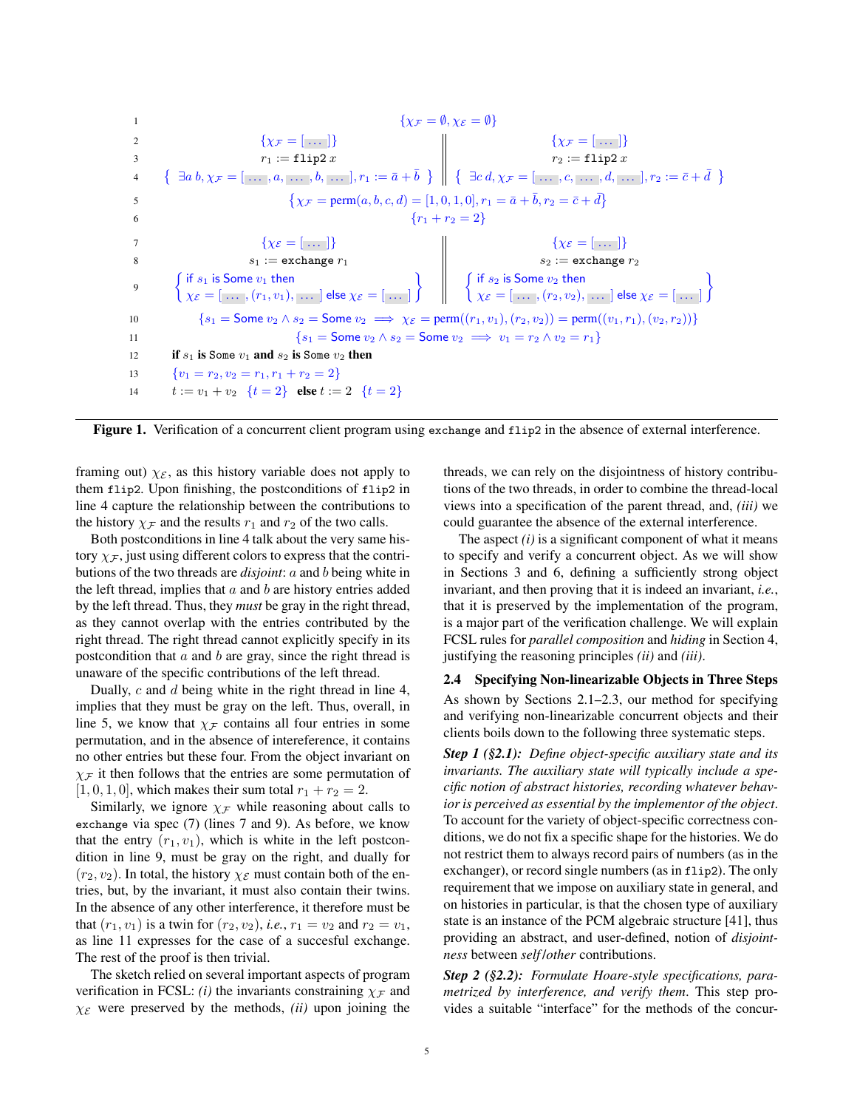$$
\begin{aligned}\n\{\chi_{\mathcal{F}} = \emptyset, \chi_{\mathcal{E}} = \emptyset\} &\{\chi_{\mathcal{F}} = [\dots] \} &\{\chi_{\mathcal{F}} = [\dots] \} \\
1 &\{\chi_{\mathcal{F}} = [\dots] \} &\{\chi_{\mathcal{F}} = [\dots] \} \\
2 &\{\chi_{\mathcal{F}} = [\dots] \} &\{\chi_{\mathcal{F}} = [\dots] \} \\
3 &\{\chi_{\mathcal{F}} = [\dots, a, \dots, b, \dots], r_1 := \bar{a} + \bar{b} \} &\{\exists a \ d, \chi_{\mathcal{F}} = [\dots, c, \dots, d, \dots], r_2 := \bar{c} + \bar{d} \} \\
4 &\{\exists a \ b, \chi_{\mathcal{F}} = [\dots, a, \dots, b, \dots], r_1 := \bar{a} + \bar{b} \} &\{\exists c \ d, \chi_{\mathcal{F}} = [\dots, c, \dots, d, \dots], r_2 := \bar{c} + \bar{d} \} \\
6 &\{\gamma_1 + r_2 = 2 \} &\{\chi_{\mathcal{E}} = [\dots] \} &\{\chi_{\mathcal{E}} = [\dots] \} \\
7 &\{\text{if } s_1 \text{ is Some } v_1 \text{ then} \\\{\chi_{\mathcal{E}} = [\dots, (r_1, v_1), \dots] \text{ else } \chi_{\mathcal{E}} = [\dots] \} &\{\text{if } s_2 \text{ is Some } v_2 \text{ then} \\\{\chi_{\mathcal{E}} = [\dots, (r_2, v_2), \dots] \text{ else } \chi_{\mathcal{E}} = [\dots] \} \\
10 &\{\text{if } s_1 \text{ is Some } v_1 \text{ and } s_2 \text{ is Some } v_2 \implies \chi_{\mathcal{E}} = \text{Norm}((r_1, v_1), (r_2, v_2)) = \text{perm}((v_1, r_1), (v_2, r_2)) \} \\
11 &\{\text{if } s_1 \text{ is Some } v_1 \text{ and } s_2 \text{ is Some } v_2 \text{ then} \\\{v_1 = r_2, v_2 = r_1, r_1 + r_2 = 2 \}} &t := v_1 + v_2 \quad \{t = 2 \} \text{ else } t := 2 \quad \{t = 2 \} &\end{aligned}
$$

<span id="page-4-0"></span>Figure 1. Verification of a concurrent client program using exchange and flip2 in the absence of external interference.

framing out)  $\chi_{\mathcal{E}}$ , as this history variable does not apply to them flip2. Upon finishing, the postconditions of flip2 in line 4 capture the relationship between the contributions to the history  $\chi_{\mathcal{F}}$  and the results  $r_1$  and  $r_2$  of the two calls.

Both postconditions in line 4 talk about the very same history  $\chi_F$ , just using different colors to express that the contributions of the two threads are *disjoint*: a and b being white in the left thread, implies that  $a$  and  $b$  are history entries added by the left thread. Thus, they *must* be gray in the right thread, as they cannot overlap with the entries contributed by the right thread. The right thread cannot explicitly specify in its postcondition that  $a$  and  $b$  are gray, since the right thread is unaware of the specific contributions of the left thread.

Dually, c and d being white in the right thread in line 4, implies that they must be gray on the left. Thus, overall, in line 5, we know that  $\chi_{\mathcal{F}}$  contains all four entries in some permutation, and in the absence of intereference, it contains no other entries but these four. From the object invariant on  $\chi$ <sub>F</sub> it then follows that the entries are some permutation of  $[1, 0, 1, 0]$ , which makes their sum total  $r_1 + r_2 = 2$ .

Similarly, we ignore  $\chi$ <sub>F</sub> while reasoning about calls to exchange via spec [\(7\)](#page-3-1) (lines 7 and 9). As before, we know that the entry  $(r_1, v_1)$ , which is white in the left postcondition in line 9, must be gray on the right, and dually for  $(r_2, v_2)$ . In total, the history  $\chi_{\mathcal{E}}$  must contain both of the entries, but, by the invariant, it must also contain their twins. In the absence of any other interference, it therefore must be that  $(r_1, v_1)$  is a twin for  $(r_2, v_2)$ , *i.e.*,  $r_1 = v_2$  and  $r_2 = v_1$ , as line 11 expresses for the case of a succesful exchange. The rest of the proof is then trivial.

The sketch relied on several important aspects of program verification in FCSL: *(i)* the invariants constraining  $\chi$ <sub>F</sub> and  $\chi_{\mathcal{E}}$  were preserved by the methods, *(ii)* upon joining the

threads, we can rely on the disjointness of history contributions of the two threads, in order to combine the thread-local views into a specification of the parent thread, and, *(iii)* we could guarantee the absence of the external interference.

The aspect *(i)* is a significant component of what it means to specify and verify a concurrent object. As we will show in Sections [3](#page-5-0) and [6,](#page-8-0) defining a sufficiently strong object invariant, and then proving that it is indeed an invariant, *i.e.*, that it is preserved by the implementation of the program, is a major part of the verification challenge. We will explain FCSL rules for *parallel composition* and *hiding* in Section [4,](#page-6-0) justifying the reasoning principles *(ii)* and *(iii)*.

## 2.4 Specifying Non-linearizable Objects in Three Steps As shown by Sections [2.1–](#page-2-2)[2.3,](#page-3-3) our method for specifying and verifying non-linearizable concurrent objects and their clients boils down to the following three systematic steps.

*Step 1 ([§2.1\)](#page-2-2): Define object-specific auxiliary state and its invariants. The auxiliary state will typically include a specific notion of abstract histories, recording whatever behavior is perceived as essential by the implementor of the object*. To account for the variety of object-specific correctness conditions, we do not fix a specific shape for the histories. We do not restrict them to always record pairs of numbers (as in the exchanger), or record single numbers (as in flip2). The only requirement that we impose on auxiliary state in general, and on histories in particular, is that the chosen type of auxiliary state is an instance of the PCM algebraic structure [\[41\]](#page-18-2), thus providing an abstract, and user-defined, notion of *disjointness* between *self* /*other* contributions.

*Step 2 ([§2.2\)](#page-3-4): Formulate Hoare-style specifications, parametrized by interference, and verify them*. This step provides a suitable "interface" for the methods of the concur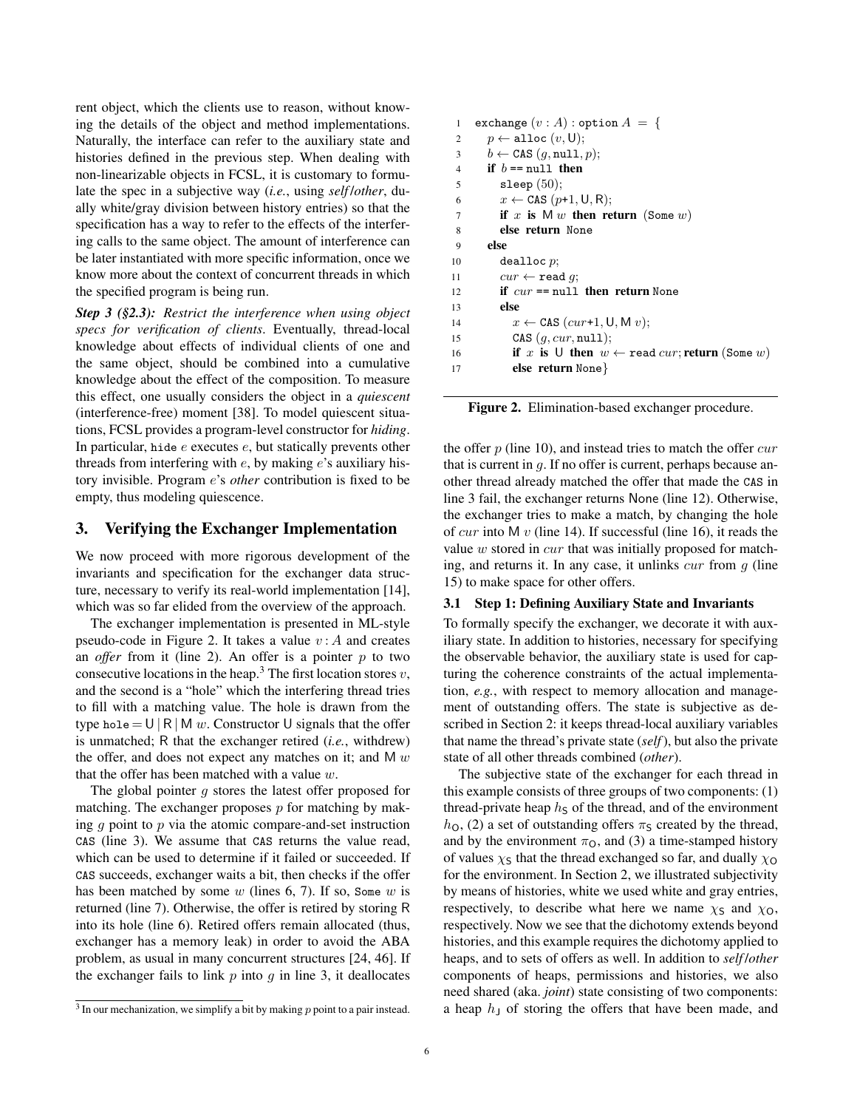rent object, which the clients use to reason, without knowing the details of the object and method implementations. Naturally, the interface can refer to the auxiliary state and histories defined in the previous step. When dealing with non-linearizable objects in FCSL, it is customary to formulate the spec in a subjective way (*i.e.*, using *self* /*other*, dually white/gray division between history entries) so that the specification has a way to refer to the effects of the interfering calls to the same object. The amount of interference can be later instantiated with more specific information, once we know more about the context of concurrent threads in which the specified program is being run.

*Step 3 ([§2.3\)](#page-3-3): Restrict the interference when using object specs for verification of clients*. Eventually, thread-local knowledge about effects of individual clients of one and the same object, should be combined into a cumulative knowledge about the effect of the composition. To measure this effect, one usually considers the object in a *quiescent* (interference-free) moment [\[38\]](#page-17-17). To model quiescent situations, FCSL provides a program-level constructor for *hiding*. In particular, hide  $e$  executes  $e$ , but statically prevents other threads from interfering with  $e$ , by making  $e$ 's auxiliary history invisible. Program e's *other* contribution is fixed to be empty, thus modeling quiescence.

# <span id="page-5-0"></span>3. Verifying the Exchanger Implementation

We now proceed with more rigorous development of the invariants and specification for the exchanger data structure, necessary to verify its real-world implementation [\[14\]](#page-17-15), which was so far elided from the overview of the approach.

The exchanger implementation is presented in ML-style pseudo-code in Figure [2.](#page-5-1) It takes a value  $v : A$  and creates an *offer* from it (line 2). An offer is a pointer  $p$  to two consecutive locations in the heap.<sup>[3](#page-5-2)</sup> The first location stores  $v$ , and the second is a "hole" which the interfering thread tries to fill with a matching value. The hole is drawn from the type hole =  $U | R | M w$ . Constructor U signals that the offer is unmatched; R that the exchanger retired (*i.e.*, withdrew) the offer, and does not expect any matches on it; and M  $w$ that the offer has been matched with a value  $w$ .

The global pointer  $q$  stores the latest offer proposed for matching. The exchanger proposes  $p$  for matching by making  $q$  point to  $p$  via the atomic compare-and-set instruction CAS (line 3). We assume that CAS returns the value read, which can be used to determine if it failed or succeeded. If CAS succeeds, exchanger waits a bit, then checks if the offer has been matched by some  $w$  (lines 6, 7). If so, Some  $w$  is returned (line 7). Otherwise, the offer is retired by storing R into its hole (line 6). Retired offers remain allocated (thus, exchanger has a memory leak) in order to avoid the ABA problem, as usual in many concurrent structures [\[24,](#page-17-18) [46\]](#page-18-3). If the exchanger fails to link  $p$  into  $q$  in line 3, it deallocates

| 1              | exchange $(v : A)$ : option $A = \{$                    |
|----------------|---------------------------------------------------------|
| $\overline{c}$ | $p \leftarrow \text{alloc}(v, \text{U});$               |
| 3              | $b \leftarrow \text{CAS}(q, \text{null}, p);$           |
| $\overline{4}$ | if $b == null$ then                                     |
| 5              | sleep $(50)$ ;                                          |
| 6              | $x \leftarrow$ CAS $(p+1, U, R)$ ;                      |
| $\overline{7}$ | if x is $M w$ then return (Some w)                      |
| 8              | else return None                                        |
| 9              | else                                                    |
| 10             | $de$ alloc $p$ ;                                        |
| 11             | $cur \leftarrow \texttt{read } q;$                      |
| 12             | if $cur == \text{null}$ then return None                |
| 13             | else                                                    |
| 14             | $x \leftarrow$ CAS (cur+1, U, M v);                     |
| 15             | CAS $(q, cur, null)$ ;                                  |
| 16             | if x is U then $w \leftarrow$ read cur; return (Some w) |
| 17             | else return None $\}$                                   |

<span id="page-5-1"></span>Figure 2. Elimination-based exchanger procedure.

the offer  $p$  (line 10), and instead tries to match the offer  $cur$ that is current in  $q$ . If no offer is current, perhaps because another thread already matched the offer that made the CAS in line 3 fail, the exchanger returns None (line 12). Otherwise, the exchanger tries to make a match, by changing the hole of cur into M  $v$  (line 14). If successful (line 16), it reads the value  $w$  stored in  $cur$  that was initially proposed for matching, and returns it. In any case, it unlinks  $cur$  from  $q$  (line 15) to make space for other offers.

#### 3.1 Step 1: Defining Auxiliary State and Invariants

To formally specify the exchanger, we decorate it with auxiliary state. In addition to histories, necessary for specifying the observable behavior, the auxiliary state is used for capturing the coherence constraints of the actual implementation, *e.g.*, with respect to memory allocation and management of outstanding offers. The state is subjective as described in Section [2:](#page-1-0) it keeps thread-local auxiliary variables that name the thread's private state (*self*), but also the private state of all other threads combined (*other*).

The subjective state of the exchanger for each thread in this example consists of three groups of two components: (1) thread-private heap  $h<sub>S</sub>$  of the thread, and of the environment  $h<sub>O</sub>$ , (2) a set of outstanding offers  $\pi<sub>S</sub>$  created by the thread, and by the environment  $\pi_{\Omega}$ , and (3) a time-stamped history of values  $\chi$ <sub>S</sub> that the thread exchanged so far, and dually  $\chi$ <sub>O</sub> for the environment. In Section [2,](#page-1-0) we illustrated subjectivity by means of histories, white we used white and gray entries, respectively, to describe what here we name  $\chi$ s and  $\chi$ o, respectively. Now we see that the dichotomy extends beyond histories, and this example requires the dichotomy applied to heaps, and to sets of offers as well. In addition to *self* /*other* components of heaps, permissions and histories, we also need shared (aka. *joint*) state consisting of two components: a heap  $h<sub>J</sub>$  of storing the offers that have been made, and

<span id="page-5-2"></span> $3$  In our mechanization, we simplify a bit by making  $p$  point to a pair instead.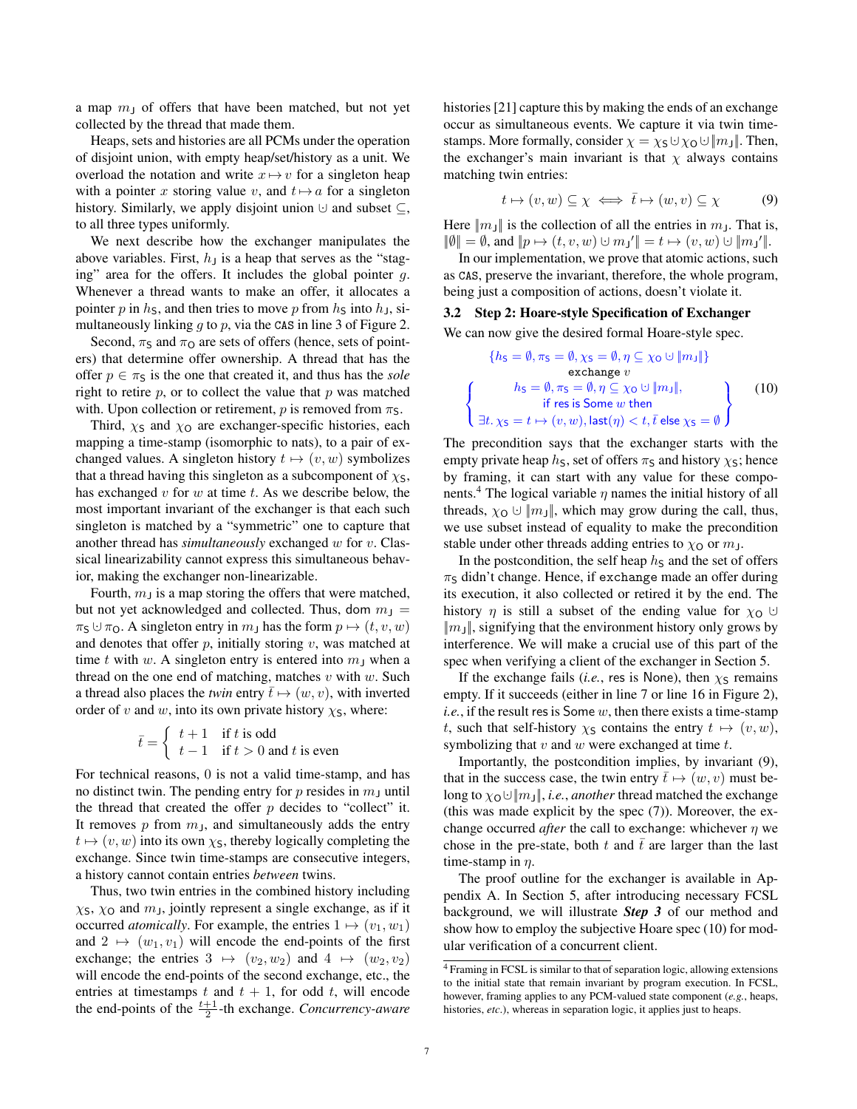a map  $m<sub>J</sub>$  of offers that have been matched, but not yet collected by the thread that made them.

Heaps, sets and histories are all PCMs under the operation of disjoint union, with empty heap/set/history as a unit. We overload the notation and write  $x \mapsto v$  for a singleton heap with a pointer x storing value v, and  $t \mapsto a$  for a singleton history. Similarly, we apply disjoint union  $\cup$  and subset  $\subseteq$ , to all three types uniformly.

We next describe how the exchanger manipulates the above variables. First,  $h_1$  is a heap that serves as the "staging" area for the offers. It includes the global pointer g. Whenever a thread wants to make an offer, it allocates a pointer p in  $h<sub>S</sub>$ , and then tries to move p from  $h<sub>S</sub>$  into  $h<sub>J</sub>$ , simultaneously linking  $q$  to  $p$ , via the CAS in line 3 of Figure [2.](#page-5-1)

Second,  $\pi_S$  and  $\pi_O$  are sets of offers (hence, sets of pointers) that determine offer ownership. A thread that has the offer  $p \in \pi_S$  is the one that created it, and thus has the *sole* right to retire  $p$ , or to collect the value that  $p$  was matched with. Upon collection or retirement,  $p$  is removed from  $\pi$ s.

Third,  $\chi$ <sub>S</sub> and  $\chi$ <sub>O</sub> are exchanger-specific histories, each mapping a time-stamp (isomorphic to nats), to a pair of exchanged values. A singleton history  $t \mapsto (v, w)$  symbolizes that a thread having this singleton as a subcomponent of  $\chi$ s, has exchanged  $v$  for  $w$  at time  $t$ . As we describe below, the most important invariant of the exchanger is that each such singleton is matched by a "symmetric" one to capture that another thread has *simultaneously* exchanged w for v. Classical linearizability cannot express this simultaneous behavior, making the exchanger non-linearizable.

Fourth,  $m<sub>J</sub>$  is a map storing the offers that were matched, but not yet acknowledged and collected. Thus, dom  $m_1$  =  $\pi_S \cup \pi_O$ . A singleton entry in  $m_J$  has the form  $p \mapsto (t, v, w)$ and denotes that offer  $p$ , initially storing  $v$ , was matched at time t with w. A singleton entry is entered into  $m<sub>J</sub>$  when a thread on the one end of matching, matches  $v$  with  $w$ . Such a thread also places the *twin* entry  $\bar{t} \mapsto (w, v)$ , with inverted order of v and w, into its own private history  $\chi$ <sub>S</sub>, where:

$$
\bar{t} = \begin{cases} t+1 & \text{if } t \text{ is odd} \\ t-1 & \text{if } t > 0 \text{ and } t \text{ is even} \end{cases}
$$

For technical reasons, 0 is not a valid time-stamp, and has no distinct twin. The pending entry for p resides in  $m<sub>J</sub>$  until the thread that created the offer  $p$  decides to "collect" it. It removes  $p$  from  $m<sub>J</sub>$ , and simultaneously adds the entry  $t \mapsto (v, w)$  into its own  $\chi$ <sub>S</sub>, thereby logically completing the exchange. Since twin time-stamps are consecutive integers, a history cannot contain entries *between* twins.

Thus, two twin entries in the combined history including  $\chi$ s,  $\chi$ o and  $m<sub>J</sub>$ , jointly represent a single exchange, as if it occurred *atomically*. For example, the entries  $1 \mapsto (v_1, w_1)$ and  $2 \mapsto (w_1, v_1)$  will encode the end-points of the first exchange; the entries  $3 \mapsto (v_2, w_2)$  and  $4 \mapsto (w_2, v_2)$ will encode the end-points of the second exchange, etc., the entries at timestamps  $t$  and  $t + 1$ , for odd  $t$ , will encode the end-points of the  $\frac{t+1}{2}$ -th exchange. *Concurrency-aware* 

histories [\[21\]](#page-17-1) capture this by making the ends of an exchange occur as simultaneous events. We capture it via twin timestamps. More formally, consider  $\chi = \chi_S \cup \chi_O \cup ||m_J||$ . Then, the exchanger's main invariant is that  $\chi$  always contains matching twin entries:

<span id="page-6-2"></span>
$$
t \mapsto (v, w) \subseteq \chi \iff \bar{t} \mapsto (w, v) \subseteq \chi \tag{9}
$$

Here  $||m_J||$  is the collection of all the entries in  $m_J$ . That is,  $\|\emptyset\| = \emptyset$ , and  $\|p \mapsto (t, v, w) \cup m_J'\| = t \mapsto (v, w) \cup \|m_J'\|.$ 

In our implementation, we prove that atomic actions, such as CAS, preserve the invariant, therefore, the whole program, being just a composition of actions, doesn't violate it.

# 3.2 Step 2: Hoare-style Specification of Exchanger

We can now give the desired formal Hoare-style spec.

<span id="page-6-3"></span>
$$
\{h_{\mathsf{S}} = \emptyset, \pi_{\mathsf{S}} = \emptyset, \chi_{\mathsf{S}} = \emptyset, \eta \subseteq \chi_{\mathsf{O}} \cup \|m_{\mathsf{J}}\|\}
$$
  
exchange  $v$   

$$
\left\{\n\begin{array}{c}\nh_{\mathsf{S}} = \emptyset, \pi_{\mathsf{S}} = \emptyset, \eta \subseteq \chi_{\mathsf{O}} \cup \|m_{\mathsf{J}}\|, \\
\text{if } \mathsf{res} \text{ is Some } w \text{ then} \\
\exists t. \chi_{\mathsf{S}} = t \mapsto (v, w), \text{last}(\eta) < t, \bar{t} \text{ else } \chi_{\mathsf{S}} = \emptyset\n\end{array}\n\right\}
$$
(10)

The precondition says that the exchanger starts with the empty private heap  $h<sub>S</sub>$ , set of offers  $\pi<sub>S</sub>$  and history  $\chi<sub>S</sub>$ ; hence by framing, it can start with any value for these compo-nents.<sup>[4](#page-6-1)</sup> The logical variable  $\eta$  names the initial history of all threads,  $\chi_{\mathbf{O}} \cup ||m_{\mathbf{I}}||$ , which may grow during the call, thus, we use subset instead of equality to make the precondition stable under other threads adding entries to  $\chi_0$  or  $m_J$ .

In the postcondition, the self heap  $h<sub>S</sub>$  and the set of offers  $\pi_S$  didn't change. Hence, if exchange made an offer during its execution, it also collected or retired it by the end. The history  $\eta$  is still a subset of the ending value for  $\chi_0 \cup$  $||m||$ , signifying that the environment history only grows by interference. We will make a crucial use of this part of the spec when verifying a client of the exchanger in Section [5.](#page-7-0)

If the exchange fails (*i.e.*, res is None), then  $\chi$ s remains empty. If it succeeds (either in line 7 or line 16 in Figure [2\)](#page-5-1), *i.e.*, if the result res is Some w, then there exists a time-stamp t, such that self-history  $\chi_S$  contains the entry  $t \mapsto (v, w)$ , symbolizing that  $v$  and  $w$  were exchanged at time  $t$ .

Importantly, the postcondition implies, by invariant [\(9\)](#page-6-2), that in the success case, the twin entry  $\bar{t} \mapsto (w, v)$  must belong to  $\chi_0 \cup ||m||$ , *i.e.*, *another* thread matched the exchange (this was made explicit by the spec [\(7\)](#page-3-1)). Moreover, the exchange occurred *after* the call to exchange: whichever η we chose in the pre-state, both t and  $\bar{t}$  are larger than the last time-stamp in  $\eta$ .

The proof outline for the exchanger is available in Appendix [A.](#page-15-1) In Section [5,](#page-7-0) after introducing necessary FCSL background, we will illustrate *Step 3* of our method and show how to employ the subjective Hoare spec [\(10\)](#page-6-3) for modular verification of a concurrent client.

<span id="page-6-1"></span><span id="page-6-0"></span><sup>4</sup> Framing in FCSL is similar to that of separation logic, allowing extensions to the initial state that remain invariant by program execution. In FCSL, however, framing applies to any PCM-valued state component (*e.g.*, heaps, histories, *etc*.), whereas in separation logic, it applies just to heaps.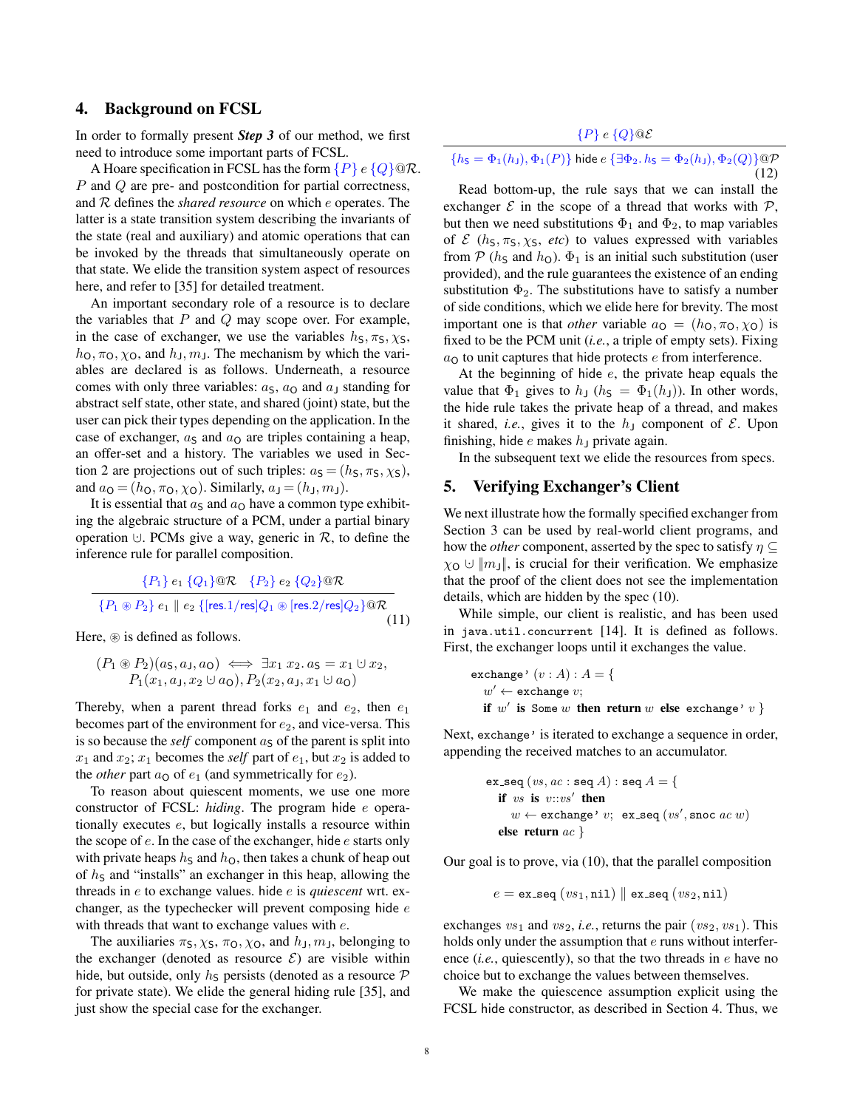#### 4. Background on FCSL

In order to formally present *Step 3* of our method, we first need to introduce some important parts of FCSL.

A Hoare specification in FCSL has the form  $\{P\} e \{Q\} @ \mathcal{R}$ . P and Q are pre- and postcondition for partial correctness, and R defines the *shared resource* on which e operates. The latter is a state transition system describing the invariants of the state (real and auxiliary) and atomic operations that can be invoked by the threads that simultaneously operate on that state. We elide the transition system aspect of resources here, and refer to [\[35\]](#page-17-9) for detailed treatment.

An important secondary role of a resource is to declare the variables that  $P$  and  $Q$  may scope over. For example, in the case of exchanger, we use the variables  $h_S$ ,  $\pi_S$ ,  $\chi_S$ ,  $h_0, \pi_0, \chi_0$ , and  $h_1, m_1$ . The mechanism by which the variables are declared is as follows. Underneath, a resource comes with only three variables:  $a_S$ ,  $a_O$  and  $a_J$  standing for abstract self state, other state, and shared (joint) state, but the user can pick their types depending on the application. In the case of exchanger,  $a<sub>S</sub>$  and  $a<sub>O</sub>$  are triples containing a heap, an offer-set and a history. The variables we used in Sec-tion [2](#page-1-0) are projections out of such triples:  $a_S = (h_S, \pi_S, \chi_S)$ , and  $a_{\mathbf{O}} = (h_{\mathbf{O}}, \pi_{\mathbf{O}}, \chi_{\mathbf{O}})$ . Similarly,  $a_{\mathbf{J}} = (h_{\mathbf{J}}, m_{\mathbf{J}})$ .

It is essential that  $a<sub>S</sub>$  and  $a<sub>O</sub>$  have a common type exhibiting the algebraic structure of a PCM, under a partial binary operation  $\cup$ . PCMs give a way, generic in  $\mathcal{R}$ , to define the inference rule for parallel composition.

$$
\frac{\{P_1\} e_1 \{Q_1\} @ \mathcal{R} \quad \{P_2\} e_2 \{Q_2\} @ \mathcal{R} }{\{P_1 \circledast P_2\} e_1 \parallel e_2 \{[res.1/res]Q_1 \circledast [res.2/res]Q_2\} @ \mathcal{R} } \tag{11}
$$

Here,  $\circledast$  is defined as follows.

$$
(P_1 \circledast P_2)(a_5, a_1, a_0) \iff \exists x_1 \ x_2 \ldotp a_5 = x_1 \cup x_2, P_1(x_1, a_1, x_2 \cup a_0), P_2(x_2, a_1, x_1 \cup a_0)
$$

Thereby, when a parent thread forks  $e_1$  and  $e_2$ , then  $e_1$ becomes part of the environment for  $e_2$ , and vice-versa. This is so because the *self* component  $a<sub>S</sub>$  of the parent is split into  $x_1$  and  $x_2$ ;  $x_1$  becomes the *self* part of  $e_1$ , but  $x_2$  is added to the *other* part  $a_0$  of  $e_1$  (and symmetrically for  $e_2$ ).

To reason about quiescent moments, we use one more constructor of FCSL: *hiding*. The program hide e operationally executes e, but logically installs a resource within the scope of  $e$ . In the case of the exchanger, hide  $e$  starts only with private heaps  $h<sub>S</sub>$  and  $h<sub>O</sub>$ , then takes a chunk of heap out of  $h<sub>S</sub>$  and "installs" an exchanger in this heap, allowing the threads in e to exchange values. hide e is *quiescent* wrt. exchanger, as the typechecker will prevent composing hide  $e$ with threads that want to exchange values with  $e$ .

The auxiliaries  $\pi_S$ ,  $\chi_S$ ,  $\pi_O$ ,  $\chi_O$ , and  $h_J$ ,  $m_J$ , belonging to the exchanger (denoted as resource  $\mathcal{E}$ ) are visible within hide, but outside, only  $h<sub>S</sub>$  persists (denoted as a resource  $P$ for private state). We elide the general hiding rule [\[35\]](#page-17-9), and just show the special case for the exchanger.

<span id="page-7-2"></span> ${P}$  e  ${Q}$   $@{\mathcal{E}}$ 

$$
\{h_{\mathsf{S}} = \Phi_1(h_{\mathsf{J}}), \Phi_1(P)\}\text{ hide }e\{\exists \Phi_2. h_{\mathsf{S}} = \Phi_2(h_{\mathsf{J}}), \Phi_2(Q)\}\textcircled{q\mathcal{P}}
$$
\n(12)

Read bottom-up, the rule says that we can install the exchanger  $\mathcal E$  in the scope of a thread that works with  $\mathcal P$ , but then we need substitutions  $\Phi_1$  and  $\Phi_2$ , to map variables of  $\mathcal{E}$  ( $h_s$ ,  $\pi_s$ ,  $\chi_s$ , *etc*) to values expressed with variables from  $P(h<sub>S</sub>$  and  $h<sub>O</sub>)$ .  $\Phi_1$  is an initial such substitution (user provided), and the rule guarantees the existence of an ending substitution  $\Phi_2$ . The substitutions have to satisfy a number of side conditions, which we elide here for brevity. The most important one is that *other* variable  $a_0 = (h_0, \pi_0, \chi_0)$  is fixed to be the PCM unit (*i.e.*, a triple of empty sets). Fixing  $a<sub>O</sub>$  to unit captures that hide protects  $e$  from interference.

At the beginning of hide  $e$ , the private heap equals the value that  $\Phi_1$  gives to  $h_1$  ( $h_5 = \Phi_1(h_1)$ ). In other words, the hide rule takes the private heap of a thread, and makes it shared, *i.e.*, gives it to the  $h<sub>J</sub>$  component of  $\mathcal{E}$ . Upon finishing, hide  $e$  makes  $h<sub>J</sub>$  private again.

In the subsequent text we elide the resources from specs.

## <span id="page-7-0"></span>5. Verifying Exchanger's Client

We next illustrate how the formally specified exchanger from Section [3](#page-5-0) can be used by real-world client programs, and how the *other* component, asserted by the spec to satisfy  $\eta \subseteq$  $\chi_{\Omega} \cup ||m_1||$ , is crucial for their verification. We emphasize that the proof of the client does not see the implementation details, which are hidden by the spec [\(10\)](#page-6-3).

<span id="page-7-1"></span>While simple, our client is realistic, and has been used in java.util.concurrent [\[14\]](#page-17-15). It is defined as follows. First, the exchanger loops until it exchanges the value.

$$
\begin{aligned}\n\text{exchange'} (v : A) : A &= \{ \\
w' \leftarrow \text{exchange } v; \\
\text{if } w' \text{ is Some } w \text{ then return } w \text{ else exchange'} v\}\n\end{aligned}
$$

Next, exchange' is iterated to exchange a sequence in order, appending the received matches to an accumulator.

ex-seq 
$$
(vs, ac : seq A) : seq A = \{
$$
  
if  $vs$  is  $v::vs'$  then  
 $w \leftarrow$  exchange'  $v$ ; ex-seq  $(vs', snoc ac w)$   
else return  $ac$ 

Our goal is to prove, via [\(10\)](#page-6-3), that the parallel composition

 $e = \texttt{ex\_seq}(v s_1, \texttt{nil}) \parallel \texttt{ex\_seq}(v s_2, \texttt{nil})$ 

exchanges  $vs_1$  and  $vs_2$ , *i.e.*, returns the pair  $(vs_2, vs_1)$ . This holds only under the assumption that e runs without interference (*i.e.*, quiescently), so that the two threads in *e* have no choice but to exchange the values between themselves.

We make the quiescence assumption explicit using the FCSL hide constructor, as described in Section [4.](#page-6-0) Thus, we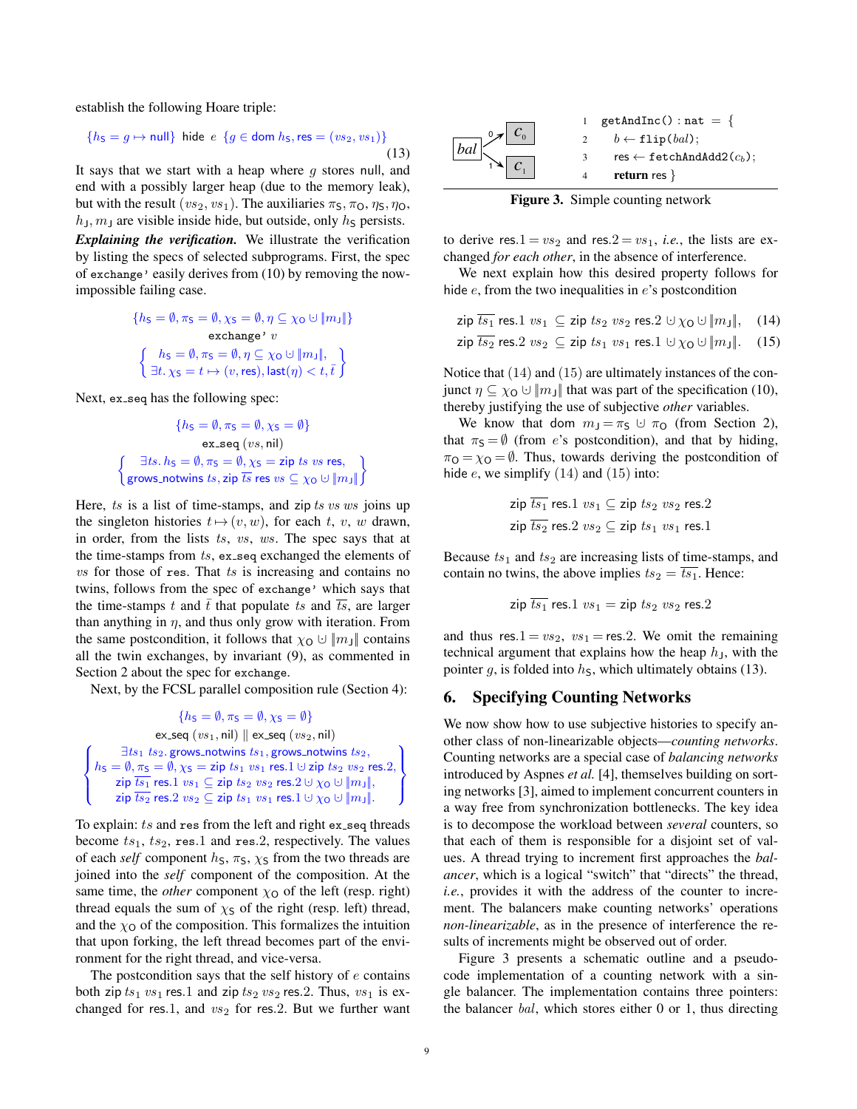establish the following Hoare triple:

$$
\{h_{\mathsf{S}} = g \mapsto \text{null}\} \text{ hide } e \{g \in \text{dom } h_{\mathsf{S}}, \text{res} = (vs_2, vs_1)\}\tag{13}
$$

It says that we start with a heap where  $q$  stores null, and end with a possibly larger heap (due to the memory leak), but with the result ( $vs_2, vs_1$ ). The auxiliaries  $\pi_S, \pi_O, \eta_S, \eta_O$ ,  $h_{\rm J}$ ,  $m_{\rm J}$  are visible inside hide, but outside, only  $h_{\rm S}$  persists.

*Explaining the verification.* We illustrate the verification by listing the specs of selected subprograms. First, the spec of exchange' easily derives from [\(10\)](#page-6-3) by removing the nowimpossible failing case.

$$
\{h_{\mathsf{S}} = \emptyset, \pi_{\mathsf{S}} = \emptyset, \chi_{\mathsf{S}} = \emptyset, \eta \subseteq \chi_{\mathsf{O}} \cup \|m_{\mathsf{J}}\|\}
$$
  

$$
\text{exchange'} v
$$
  

$$
\left\{\n\begin{array}{l}\nh_{\mathsf{S}} = \emptyset, \pi_{\mathsf{S}} = \emptyset, \eta \subseteq \chi_{\mathsf{O}} \cup \|m_{\mathsf{J}}\|, \\
\exists t.\ \chi_{\mathsf{S}} = t \mapsto (v, \text{res}), \text{last}(\eta) < t, \bar{t}\n\end{array}\n\right\}
$$

Next, ex\_seq has the following spec:

$$
\{h_S = \emptyset, \pi_S = \emptyset, \chi_S = \emptyset\}
$$
  
ex-seq (*vs*, nil)  

$$
\left\{\begin{array}{c}\exists ts. \, hs = \emptyset, \pi_S = \emptyset, \chi_S = \text{zip } ts \text{ vs } \text{res}, \\ \text{grows\_notwins } ts, \text{zip } \overline{ts} \text{ res } vs \subseteq \chi_0 \cup \|\mathit{m}_\mathit{J}\|\end{array}\right\}
$$

Here,  $ts$  is a list of time-stamps, and zip  $ts$  vs ws joins up the singleton histories  $t\mapsto(v, w)$ , for each t, v, w drawn, in order, from the lists ts, vs, ws. The spec says that at the time-stamps from  $ts$ , ex\_seq exchanged the elements of  $vs$  for those of res. That  $ts$  is increasing and contains no twins, follows from the spec of exchange' which says that the time-stamps t and  $\overline{t}$  that populate ts and  $\overline{ts}$ , are larger than anything in  $\eta$ , and thus only grow with iteration. From the same postcondition, it follows that  $\chi_{\mathbf{O}} \cup \|m_{\mathbf{J}}\|$  contains all the twin exchanges, by invariant [\(9\)](#page-6-2), as commented in Section [2](#page-1-0) about the spec for exchange.

Next, by the FCSL parallel composition rule (Section [4\)](#page-6-0):

$$
\left\{ \begin{aligned} &\{hs= \emptyset, \pi_{\mathsf{S}} = \emptyset, \chi_{\mathsf{S}} = \emptyset \} \\ &\text{ex\_seq}\left(\textit{vs}_1, \mathsf{nil}\right) \parallel \text{ex\_seq}\left(\textit{vs}_2, \mathsf{nil}\right) \\ &\{hs= \emptyset, \pi_{\mathsf{S}} = \emptyset, \chi_{\mathsf{S}} = \textit{zip}\;ts_1\;\textit{grows\_notwins}\;ts_2, \\ &\text{zip}\;\overline{ts_1} \;\text{res.}1\;\text{vs}_1 \subseteq \textsf{zip}\;ts_1\;\text{vs}_1\;\text{res.}1 \cup \textsf{zip}\;ts_2\;\text{vs}_2\;\text{res.}2, \\ &\text{zip}\;\overline{ts_1} \;\text{res.}1\;\text{vs}_1 \subseteq \textsf{zip}\;ts_2\;\text{vs}_2\;\text{res.}2 \cup \chi_{\mathsf{O}} \cup \|\textit{m}_1\|, \\ &\text{zip}\;\overline{ts_2} \;\text{res.}2\;\text{vs}_2 \subseteq \textsf{zip}\;ts_1\;\text{vs}_1\;\text{res.}1 \cup \chi_{\mathsf{O}} \cup \|\textit{m}_3\|. \end{aligned} \right\}
$$

To explain:  $ts$  and res from the left and right ex\_seq threads become  $ts_1$ ,  $ts_2$ , res.1 and res.2, respectively. The values of each *self* component  $h_s$ ,  $\pi_s$ ,  $\chi_s$  from the two threads are joined into the *self* component of the composition. At the same time, the *other* component  $\chi_0$  of the left (resp. right) thread equals the sum of  $\chi$ s of the right (resp. left) thread, and the  $\chi_{\mathsf{O}}$  of the composition. This formalizes the intuition that upon forking, the left thread becomes part of the environment for the right thread, and vice-versa.

The postcondition says that the self history of  $e$  contains both zip  $ts_1$   $vs_1$  res.1 and zip  $ts_2$   $vs_2$  res.2. Thus,  $vs_1$  is exchanged for res.1, and  $vs_2$  for res.2. But we further want

<span id="page-8-3"></span>

<span id="page-8-4"></span><span id="page-8-2"></span><span id="page-8-1"></span>Figure 3. Simple counting network

to derive res.  $1 = vs_2$  and res.  $2 = vs_1$ , *i.e.*, the lists are exchanged *for each other*, in the absence of interference.

We next explain how this desired property follows for hide  $e$ , from the two inequalities in  $e$ 's postcondition

$$
\overline{\text{zip } ts_1} \text{ res.} 1 \text{ vs}_1 \subseteq \text{zip } ts_2 \text{ vs}_2 \text{ res.} 2 \cup \chi_0 \cup \|m_J\|, \quad (14)
$$
\n
$$
\overline{\text{zip } ts_2} \text{ res.} 2 \text{ vs}_2 \subseteq \overline{\text{zip } ts_1 \text{ vs}_1 \text{ res.} 1} \cup \chi_0 \cup \|m_J\|. \quad (15)
$$

Notice that [\(14\)](#page-8-1) and [\(15\)](#page-8-2) are ultimately instances of the conjunct  $\eta \subseteq \chi_0 \cup \|m\|$  that was part of the specification [\(10\)](#page-6-3), thereby justifying the use of subjective *other* variables.

We know that dom  $m_J = \pi_S \cup \pi_O$  (from Section [2\)](#page-1-0), that  $\pi$ <sub>S</sub> =  $\emptyset$  (from *e*'s postcondition), and that by hiding,  $\pi_{\Omega} = \chi_{\Omega} = \emptyset$ . Thus, towards deriving the postcondition of hide  $e$ , we simplify  $(14)$  and  $(15)$  into:

$$
\mathsf{zip} \; \overline{ts_1} \; \mathsf{res}.1 \; vs_1 \subseteq \mathsf{zip} \; ts_2 \; vs_2 \; \mathsf{res}.2
$$
\n
$$
\mathsf{zip} \; \overline{ts_2} \; \mathsf{res}.2 \; vs_2 \subseteq \mathsf{zip} \; ts_1 \; vs_1 \; \mathsf{res}.1
$$

Because  $ts_1$  and  $ts_2$  are increasing lists of time-stamps, and contain no twins, the above implies  $ts_2 = \overline{ts_1}$ . Hence:

$$
\textsf{zip}\ \overline{ts_1}\ \textsf{res}.1\ vs_1=\textsf{zip}\ ts_2\ vs_2\ \textsf{res}.2
$$

and thus res.1 =  $vs_2$ ,  $vs_1$  = res.2. We omit the remaining technical argument that explains how the heap  $h<sub>J</sub>$ , with the pointer g, is folded into  $h<sub>S</sub>$ , which ultimately obtains [\(13\)](#page-8-3).

## <span id="page-8-0"></span>6. Specifying Counting Networks

We now show how to use subjective histories to specify another class of non-linearizable objects—*counting networks*. Counting networks are a special case of *balancing networks* introduced by Aspnes *et al.* [\[4\]](#page-17-2), themselves building on sorting networks [\[3\]](#page-17-19), aimed to implement concurrent counters in a way free from synchronization bottlenecks. The key idea is to decompose the workload between *several* counters, so that each of them is responsible for a disjoint set of values. A thread trying to increment first approaches the *balancer*, which is a logical "switch" that "directs" the thread, *i.e.*, provides it with the address of the counter to increment. The balancers make counting networks' operations *non-linearizable*, as in the presence of interference the results of increments might be observed out of order.

Figure [3](#page-8-4) presents a schematic outline and a pseudocode implementation of a counting network with a single balancer. The implementation contains three pointers: the balancer bal, which stores either 0 or 1, thus directing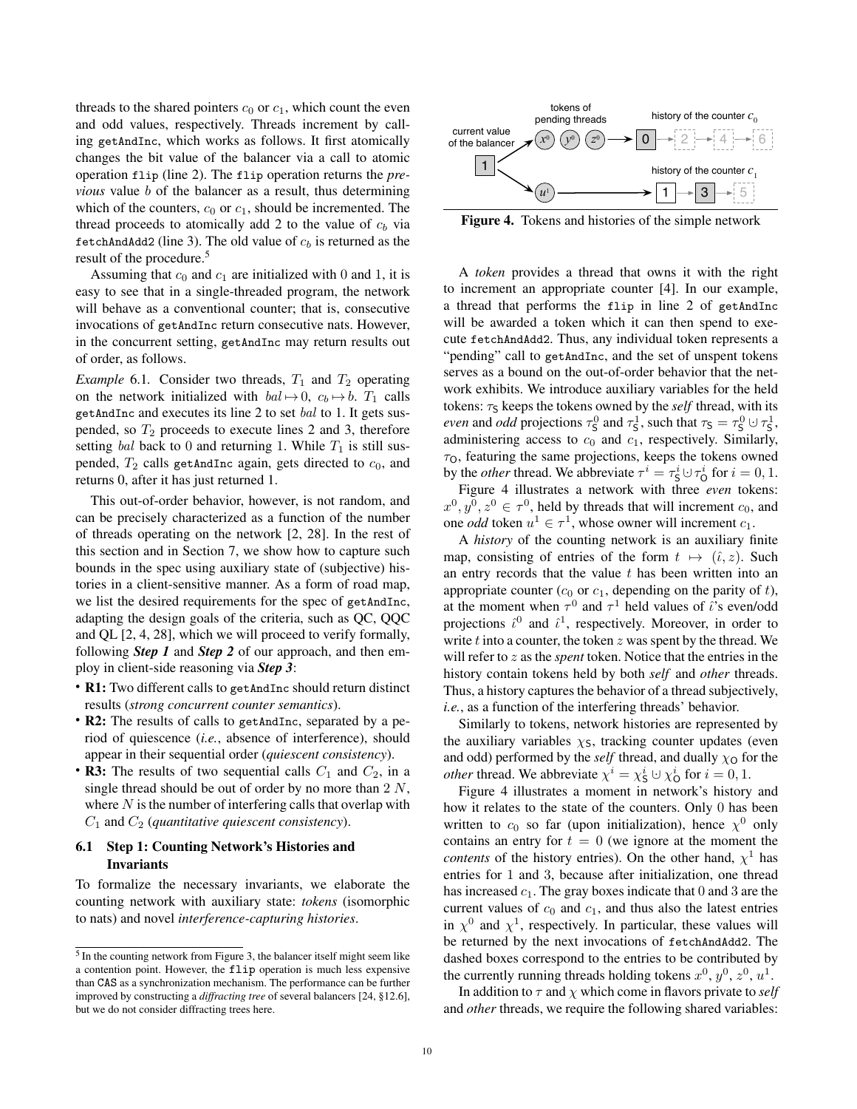threads to the shared pointers  $c_0$  or  $c_1$ , which count the even and odd values, respectively. Threads increment by calling getAndInc, which works as follows. It first atomically changes the bit value of the balancer via a call to atomic operation flip (line 2). The flip operation returns the *previous* value *b* of the balancer as a result, thus determining which of the counters,  $c_0$  or  $c_1$ , should be incremented. The thread proceeds to atomically add 2 to the value of  $c<sub>b</sub>$  via fetchAndAdd2 (line 3). The old value of  $c_b$  is returned as the result of the procedure.<sup>[5](#page-9-0)</sup>

Assuming that  $c_0$  and  $c_1$  are initialized with 0 and 1, it is easy to see that in a single-threaded program, the network will behave as a conventional counter; that is, consecutive invocations of getAndInc return consecutive nats. However, in the concurrent setting, getAndInc may return results out of order, as follows.

*Example* 6.1. Consider two threads,  $T_1$  and  $T_2$  operating on the network initialized with  $bal \mapsto 0$ ,  $c_b \mapsto b$ .  $T_1$  calls getAndInc and executes its line 2 to set bal to 1. It gets suspended, so  $T_2$  proceeds to execute lines 2 and 3, therefore setting bal back to 0 and returning 1. While  $T_1$  is still suspended,  $T_2$  calls getAndInc again, gets directed to  $c_0$ , and returns 0, after it has just returned 1.

This out-of-order behavior, however, is not random, and can be precisely characterized as a function of the number of threads operating on the network [\[2,](#page-17-4) [28\]](#page-17-6). In the rest of this section and in Section [7,](#page-11-0) we show how to capture such bounds in the spec using auxiliary state of (subjective) histories in a client-sensitive manner. As a form of road map, we list the desired requirements for the spec of getAndInc, adapting the design goals of the criteria, such as QC, QQC and QL [\[2,](#page-17-4) [4,](#page-17-2) [28\]](#page-17-6), which we will proceed to verify formally, following *Step 1* and *Step 2* of our approach, and then employ in client-side reasoning via *Step 3*:

- R1: Two different calls to getAndInc should return distinct results (*strong concurrent counter semantics*).
- R2: The results of calls to getAndInc, separated by a period of quiescence (*i.e.*, absence of interference), should appear in their sequential order (*quiescent consistency*).
- R3: The results of two sequential calls  $C_1$  and  $C_2$ , in a single thread should be out of order by no more than  $2 N$ , where  $N$  is the number of interfering calls that overlap with C<sup>1</sup> and C<sup>2</sup> (*quantitative quiescent consistency*).

### 6.1 Step 1: Counting Network's Histories and Invariants

To formalize the necessary invariants, we elaborate the counting network with auxiliary state: *tokens* (isomorphic to nats) and novel *interference-capturing histories*.



<span id="page-9-1"></span>Figure 4. Tokens and histories of the simple network

A *token* provides a thread that owns it with the right to increment an appropriate counter [\[4\]](#page-17-2). In our example, a thread that performs the flip in line 2 of getAndInc will be awarded a token which it can then spend to execute fetchAndAdd2. Thus, any individual token represents a "pending" call to getAndInc, and the set of unspent tokens serves as a bound on the out-of-order behavior that the network exhibits. We introduce auxiliary variables for the held tokens:  $\tau_s$  keeps the tokens owned by the *self* thread, with its *even* and *odd* projections  $\tau_S^0$  and  $\tau_S^1$ , such that  $\tau_S = \tau_S^0 \cup \tau_S^1$ , administering access to  $c_0$  and  $c_1$ , respectively. Similarly,  $\tau$ <sub>O</sub>, featuring the same projections, keeps the tokens owned by the *other* thread. We abbreviate  $\tau^i = \tau^i_{\mathsf{S}} \cup \tau^i_{\mathsf{O}}$  for  $i = 0, 1$ .

Figure [4](#page-9-1) illustrates a network with three *even* tokens:  $x^0, y^0, z^0 \in \tau^0$ , held by threads that will increment  $c_0$ , and one *odd* token  $u^1 \in \tau^1$ , whose owner will increment  $c_1$ .

A *history* of the counting network is an auxiliary finite map, consisting of entries of the form  $t \mapsto (\hat{\iota}, z)$ . Such an entry records that the value  $t$  has been written into an appropriate counter  $(c_0$  or  $c_1$ , depending on the parity of t), at the moment when  $\tau^0$  and  $\tau^1$  held values of is even/odd projections  $\hat{\iota}^0$  and  $\hat{\iota}^1$ , respectively. Moreover, in order to write  $t$  into a counter, the token  $z$  was spent by the thread. We will refer to z as the *spent* token. Notice that the entries in the history contain tokens held by both *self* and *other* threads. Thus, a history captures the behavior of a thread subjectively, *i.e.*, as a function of the interfering threads' behavior.

Similarly to tokens, network histories are represented by the auxiliary variables  $\chi$ <sub>S</sub>, tracking counter updates (even and odd) performed by the *self* thread, and dually  $\chi$ <sup>O</sup> for the *other* thread. We abbreviate  $\chi^i = \chi^i_S \cup \chi^i_O$  for  $i = 0, 1$ .

Figure [4](#page-9-1) illustrates a moment in network's history and how it relates to the state of the counters. Only 0 has been written to  $c_0$  so far (upon initialization), hence  $\chi^0$  only contains an entry for  $t = 0$  (we ignore at the moment the *contents* of the history entries). On the other hand,  $\chi^1$  has entries for 1 and 3, because after initialization, one thread has increased  $c_1$ . The gray boxes indicate that 0 and 3 are the current values of  $c_0$  and  $c_1$ , and thus also the latest entries in  $\chi^0$  and  $\chi^1$ , respectively. In particular, these values will be returned by the next invocations of fetchAndAdd2. The dashed boxes correspond to the entries to be contributed by the currently running threads holding tokens  $x^0$ ,  $y^0$ ,  $z^0$ ,  $u^1$ .

In addition to  $\tau$  and  $\chi$  which come in flavors private to *self* and *other* threads, we require the following shared variables:

<span id="page-9-0"></span> $<sup>5</sup>$  In the counting network from Figure [3,](#page-8-4) the balancer itself might seem like</sup> a contention point. However, the flip operation is much less expensive than CAS as a synchronization mechanism. The performance can be further improved by constructing a *diffracting tree* of several balancers [\[24,](#page-17-18) §12.6], but we do not consider diffracting trees here.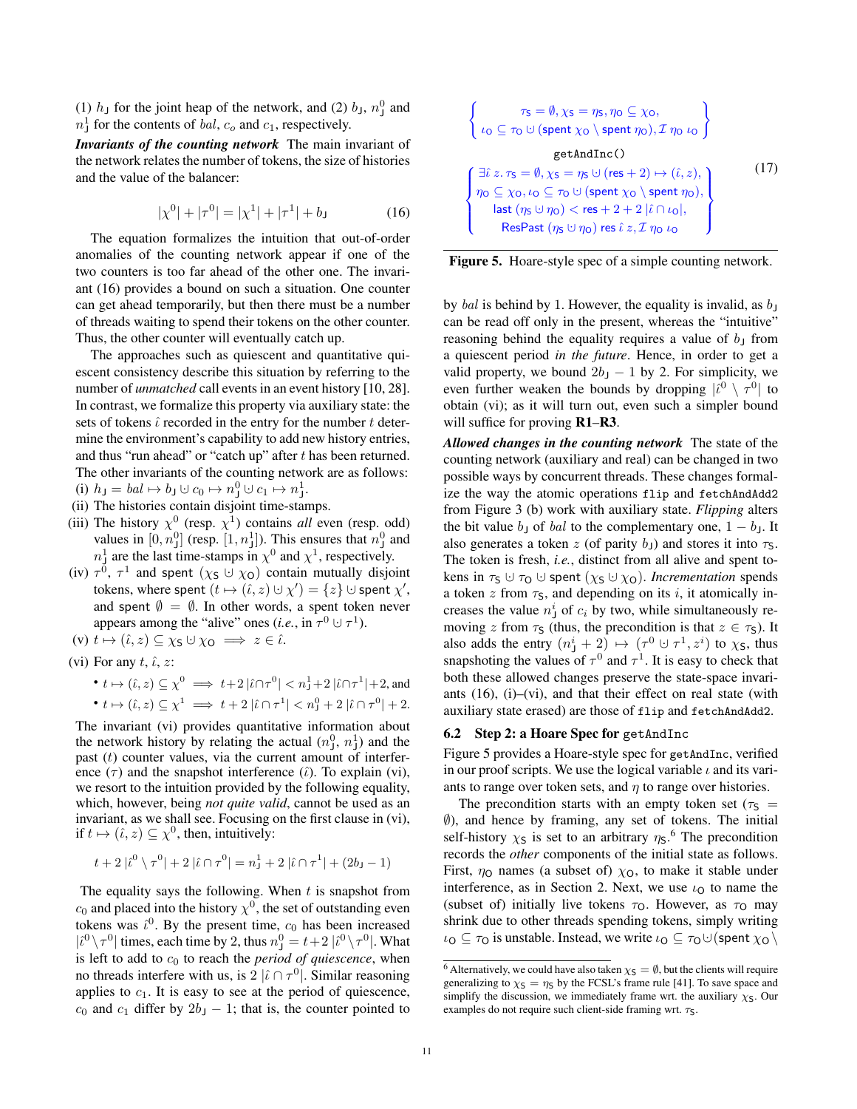(1)  $h_j$  for the joint heap of the network, and (2)  $b_j$ ,  $n_j^0$  and  $n_{\text{J}}^1$  for the contents of *bal*,  $c_o$  and  $c_1$ , respectively.

*Invariants of the counting network* The main invariant of the network relates the number of tokens, the size of histories and the value of the balancer:

$$
|\chi^{0}| + |\tau^{0}| = |\chi^{1}| + |\tau^{1}| + b_{J}
$$
 (16)

The equation formalizes the intuition that out-of-order anomalies of the counting network appear if one of the two counters is too far ahead of the other one. The invariant [\(16\)](#page-10-0) provides a bound on such a situation. One counter can get ahead temporarily, but then there must be a number of threads waiting to spend their tokens on the other counter. Thus, the other counter will eventually catch up.

The approaches such as quiescent and quantitative quiescent consistency describe this situation by referring to the number of *unmatched* call events in an event history [\[10,](#page-17-3) [28\]](#page-17-6). In contrast, we formalize this property via auxiliary state: the sets of tokens  $\hat{\iota}$  recorded in the entry for the number t determine the environment's capability to add new history entries, and thus "run ahead" or "catch up" after  $t$  has been returned. The other invariants of the counting network are as follows:  $(i)$   $h_{\mathsf{J}} = bal \mapsto b_{\mathsf{J}} \cup c_0 \mapsto n_{\mathsf{J}}^0 \cup c_1 \mapsto n_{\mathsf{J}}^1.$ 

- <span id="page-10-5"></span><span id="page-10-2"></span>(ii) The histories contain disjoint time-stamps.
- (iii) The history  $\chi^0$  (resp.  $\chi^1$ ) contains *all* even (resp. odd) values in  $[0, n_1^0]$  (resp.  $[1, n_1^1]$ ). This ensures that  $n_1^0$  and  $n_{\perp}^1$  are the last time-stamps in  $\chi^0$  and  $\chi^1$ , respectively.
- (iv)  $\tau^0$ ,  $\tau^1$  and spent  $(\chi_S \cup \chi_O)$  contain mutually disjoint tokens, where spent  $(t \mapsto (\hat{\iota}, z) \cup \chi') = \{z\} \cup \text{spent } \chi',$ and spent  $\emptyset = \emptyset$ . In other words, a spent token never appears among the "alive" ones (*i.e.*, in  $\tau^0 \cup \tau^1$ ).
- <span id="page-10-7"></span>(v)  $t \mapsto (\hat{\iota}, z) \subseteq \chi_S \cup \chi_O \implies z \in \hat{\iota}.$

<span id="page-10-1"></span>(vi) For any 
$$
t
$$
,  $\hat{\iota}$ ,  $z$ :

• 
$$
t \mapsto (\hat{\iota}, z) \subseteq \chi^0 \implies t+2|\hat{\iota} \cap \tau^0| < n_1^1 + 2|\hat{\iota} \cap \tau^1| + 2
$$
, and  
\n•  $t \mapsto (\hat{\iota}, z) \subseteq \chi^1 \implies t+2|\hat{\iota} \cap \tau^1| < n_1^0 + 2|\hat{\iota} \cap \tau^0| + 2$ .

The invariant [\(vi\)](#page-10-1) provides quantitative information about the network history by relating the actual  $(n_1^0, n_1^1)$  and the past  $(t)$  counter values, via the current amount of interference  $(\tau)$  and the snapshot interference  $(\hat{\iota})$ . To explain [\(vi\),](#page-10-1) we resort to the intuition provided by the following equality, which, however, being *not quite valid*, cannot be used as an invariant, as we shall see. Focusing on the first clause in [\(vi\),](#page-10-1) if  $t \mapsto (\hat{\iota}, z) \subseteq \chi^0$ , then, intuitively:

$$
t + 2 |i^0 \n\sqrt{\tau^0} + 2 |i \cap \tau^0| = n_1^1 + 2 |i \cap \tau^1| + (2b_1 - 1)
$$

The equality says the following. When  $t$  is snapshot from  $c_0$  and placed into the history  $\chi^0$ , the set of outstanding even tokens was  $\hat{\iota}^0$ . By the present time,  $c_0$  has been increased  $|\hat{i}^0 \rangle \tau^0|$  times, each time by 2, thus  $n_j^0 = t + 2 |\hat{i}^0 \rangle \tau^0|$ . What is left to add to  $c_0$  to reach the *period of quiescence*, when no threads interfere with us, is  $2 \lbrack \hat{i} \cap \tau^0 \rbrack$ . Similar reasoning applies to  $c_1$ . It is easy to see at the period of quiescence,  $c_0$  and  $c_1$  differ by  $2b_1 - 1$ ; that is, the counter pointed to

$$
\begin{cases}\n\tau_{S} = \emptyset, \chi_{S} = \eta_{S}, \eta_{O} \subseteq \chi_{O}, \\
\iota_{O} \subseteq \tau_{O} \cup (\text{spent }\chi_{O} \setminus \text{spent }\eta_{O}), \mathcal{I} \eta_{O} \iota_{O}\n\end{cases}
$$
\n
$$
\text{getAndInc}()
$$
\n
$$
\begin{cases}\n\exists \hat{\iota} \ z.\tau_{S} = \emptyset, \chi_{S} = \eta_{S} \cup (\text{res} + 2) \mapsto (\hat{\iota}, z), \\
\eta_{O} \subseteq \chi_{O}, \iota_{O} \subseteq \tau_{O} \cup (\text{spent }\chi_{O} \setminus \text{spent }\eta_{O}), \\
\text{last } (\eta_{S} \cup \eta_{O}) < \text{res} + 2 + 2 \left| \hat{\iota} \cap \iota_{O} \right|, \\
\text{ResFast } (\eta_{S} \cup \eta_{O}) \text{ res } \hat{\iota} \ z, \mathcal{I} \eta_{O} \iota_{O}\n\end{cases}
$$
\n(17)

<span id="page-10-6"></span> $\epsilon$ 

<span id="page-10-3"></span><span id="page-10-0"></span>

by bal is behind by 1. However, the equality is invalid, as  $b<sub>J</sub>$ can be read off only in the present, whereas the "intuitive" reasoning behind the equality requires a value of  $b<sub>J</sub>$  from a quiescent period *in the future*. Hence, in order to get a valid property, we bound  $2b<sub>J</sub> - 1$  by 2. For simplicity, we even further weaken the bounds by dropping  $|\hat{i}^0 \rangle \tau^0|$  to obtain [\(vi\);](#page-10-1) as it will turn out, even such a simpler bound will suffice for proving **R1–R3**.

*Allowed changes in the counting network* The state of the counting network (auxiliary and real) can be changed in two possible ways by concurrent threads. These changes formalize the way the atomic operations flip and fetchAndAdd2 from Figure [3](#page-8-4) (b) work with auxiliary state. *Flipping* alters the bit value  $b<sub>J</sub>$  of bal to the complementary one,  $1 - b<sub>J</sub>$ . It also generates a token z (of parity  $b<sub>J</sub>$ ) and stores it into  $\tau<sub>S</sub>$ . The token is fresh, *i.e.*, distinct from all alive and spent tokens in  $\tau_S \cup \tau_O \cup$  spent  $(\chi_S \cup \chi_O)$ . *Incrementation* spends a token z from  $\tau_s$ , and depending on its i, it atomically increases the value  $n_j^i$  of  $c_i$  by two, while simultaneously removing z from  $\tau_s$  (thus, the precondition is that  $z \in \tau_s$ ). It also adds the entry  $(n_j^i + 2) \mapsto (\tau^0 \cup \tau^1, z^i)$  to  $\chi$ <sub>S</sub>, thus snapshoting the values of  $\tau^0$  and  $\tau^1$ . It is easy to check that both these allowed changes preserve the state-space invariants [\(16\)](#page-10-0), [\(i\)](#page-10-2)[–\(vi\),](#page-10-1) and that their effect on real state (with auxiliary state erased) are those of flip and fetchAndAdd2.

#### 6.2 Step 2: a Hoare Spec for getAndInc

Figure [5](#page-10-3) provides a Hoare-style spec for getAndInc, verified in our proof scripts. We use the logical variable  $\iota$  and its variants to range over token sets, and  $\eta$  to range over histories.

The precondition starts with an empty token set ( $\tau$ <sub>S</sub> = ∅), and hence by framing, any set of tokens. The initial self-history  $\chi$ <sub>S</sub> is set to an arbitrary  $\eta$ <sub>S</sub>.<sup>[6](#page-10-4)</sup> The precondition records the *other* components of the initial state as follows. First,  $\eta$ <sup>o</sup> names (a subset of)  $\chi$ <sup>o</sup>, to make it stable under interference, as in Section [2.](#page-1-0) Next, we use  $\iota_0$  to name the (subset of) initially live tokens  $\tau_0$ . However, as  $\tau_0$  may shrink due to other threads spending tokens, simply writing  $\iota_{\mathsf{O}} \subseteq \tau_{\mathsf{O}}$  is unstable. Instead, we write  $\iota_{\mathsf{O}} \subseteq \tau_{\mathsf{O}} \cup (\text{spent } \chi_{\mathsf{O}} \setminus \tau_{\mathsf{O}})$ 

<span id="page-10-4"></span><sup>&</sup>lt;sup>6</sup> Alternatively, we could have also taken  $\chi$ <sub>S</sub> =  $\emptyset$ , but the clients will require generalizing to  $\chi$ <sub>S</sub> =  $\eta$ <sub>S</sub> by the FCSL's frame rule [\[41\]](#page-18-2). To save space and simplify the discussion, we immediately frame wrt. the auxiliary  $\chi$ s. Our examples do not require such client-side framing wrt.  $\tau_S$ .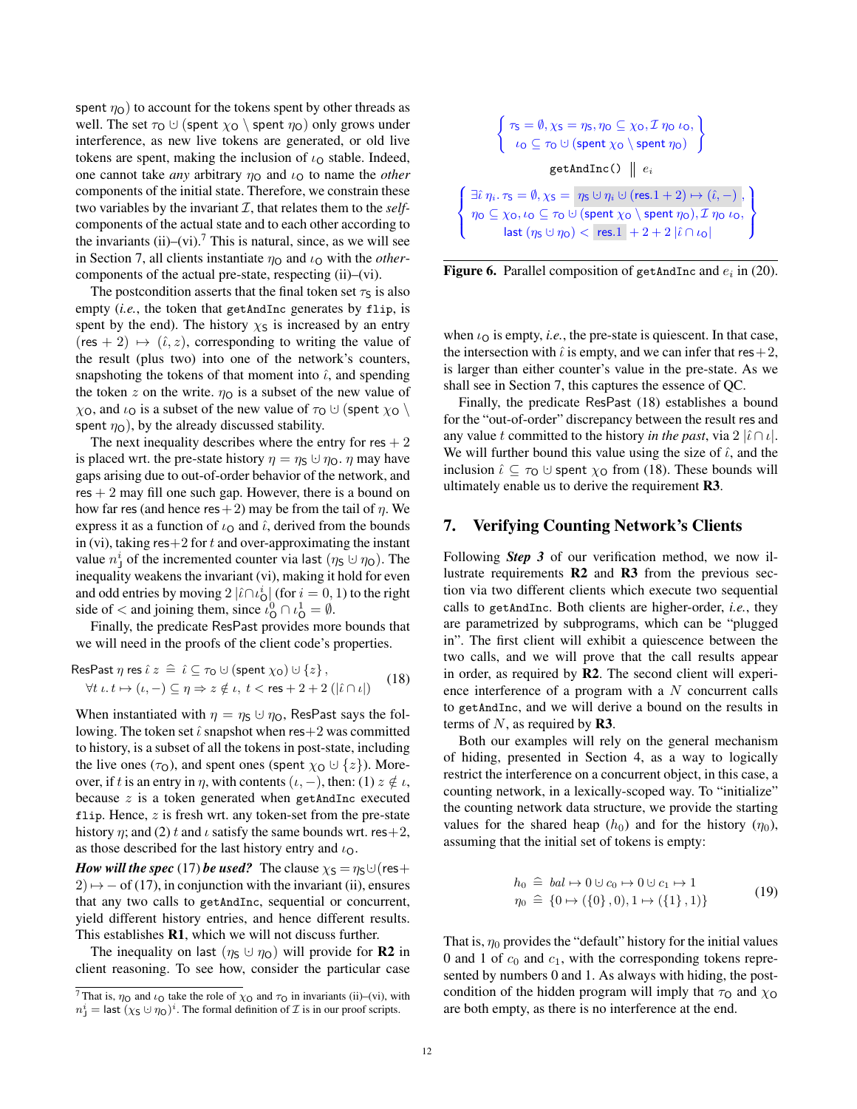spent  $\eta_{\text{O}}$ ) to account for the tokens spent by other threads as well. The set  $\tau_0 \cup$  (spent  $\chi_0 \setminus$  spent  $\eta_0$ ) only grows under interference, as new live tokens are generated, or old live tokens are spent, making the inclusion of  $\iota_{\Omega}$  stable. Indeed, one cannot take *any* arbitrary  $\eta_0$  and  $\iota_0$  to name the *other* components of the initial state. Therefore, we constrain these two variables by the invariant  $I$ , that relates them to the *self*components of the actual state and to each other according to the invariants  $(ii)$ - $(vi)$ .<sup>[7](#page-11-1)</sup> This is natural, since, as we will see in Section [7,](#page-11-0) all clients instantiate  $\eta_0$  and  $\iota_0$  with the *other*components of the actual pre-state, respecting [\(ii\)](#page-10-5)[–\(vi\).](#page-10-1)

The postcondition asserts that the final token set  $\tau_s$  is also empty (*i.e.*, the token that getAndInc generates by flip, is spent by the end). The history  $\chi$ s is increased by an entry  $(res + 2) \mapsto (\hat{\iota}, z)$ , corresponding to writing the value of the result (plus two) into one of the network's counters, snapshoting the tokens of that moment into  $\hat{\iota}$ , and spending the token z on the write.  $\eta_0$  is a subset of the new value of  $\chi_{\text{O}}$ , and  $\iota_{\text{O}}$  is a subset of the new value of  $\tau_{\text{O}} \cup (\text{spent } \chi_{\text{O}} \setminus$ spent  $\eta$ <sup>O</sup>), by the already discussed stability.

The next inequality describes where the entry for res  $+2$ is placed wrt. the pre-state history  $\eta = \eta_s \cup \eta_0$ .  $\eta$  may have gaps arising due to out-of-order behavior of the network, and  $res + 2$  may fill one such gap. However, there is a bound on how far res (and hence res + 2) may be from the tail of  $\eta$ . We express it as a function of  $\iota_{\mathbf{O}}$  and  $\hat{\iota}$ , derived from the bounds in [\(vi\),](#page-10-1) taking res $+2$  for t and over-approximating the instant value  $n_j^i$  of the incremented counter via last  $(\eta_S \cup \eta_O)$ . The inequality weakens the invariant [\(vi\),](#page-10-1) making it hold for even and odd entries by moving  $2 |i \cap \iota_{\mathsf{O}}^i|$  (for  $i = 0, 1$ ) to the right side of  $\lt$  and joining them, since  $\iota_{\mathsf{O}}^0 \cap \iota_{\mathsf{O}}^1 = \emptyset$ .

Finally, the predicate ResPast provides more bounds that we will need in the proofs of the client code's properties.

$$
\text{ResFast } \eta \text{ res } \hat{\iota} \ z \ \hat{=} \ \hat{\iota} \subseteq \tau_0 \cup (\text{spent } \chi_0) \cup \{z\},
$$
\n
$$
\forall t \ i \mapsto (\iota, -) \subseteq \eta \Rightarrow z \notin \iota, \ t < \text{res} + 2 + 2 \ (|\hat{\iota} \cap \iota|) \tag{18}
$$

When instantiated with  $\eta = \eta_s \cup \eta_0$ , ResPast says the following. The token set  $\hat{\iota}$  snapshot when res+2 was committed to history, is a subset of all the tokens in post-state, including the live ones ( $\tau$ <sub>O</sub>), and spent ones (spent  $\chi$ <sub>O</sub>  $\cup$  {*z*}). Moreover, if t is an entry in  $\eta$ , with contents  $(\iota, -)$ , then: (1)  $z \notin \iota$ , because  $z$  is a token generated when getAndInc executed flip. Hence,  $z$  is fresh wrt. any token-set from the pre-state history *n*; and (2) t and  $\iota$  satisfy the same bounds wrt. res + 2, as those described for the last history entry and  $\iota_{\mathbf{O}}$ .

*How will the spec* [\(17\)](#page-10-6) *be used?* The clause  $\chi$ <sub>S</sub> =  $\eta$ <sub>S</sub> $\cup$  (res +  $2) \mapsto$  − of [\(17\)](#page-10-6), in conjunction with the invariant [\(ii\),](#page-10-5) ensures that any two calls to getAndInc, sequential or concurrent, yield different history entries, and hence different results. This establishes R1, which we will not discuss further.

The inequality on last ( $\eta_S \cup \eta_O$ ) will provide for **R2** in client reasoning. To see how, consider the particular case

 $\int \tau_s = \emptyset$ ,  $\chi_s = \eta_s$ ,  $\eta \circ \subseteq \chi$  o,  $\mathcal{I}$   $\eta \circ \iota$ o,  $\iota_{\mathsf{O}} \subseteq \tau_{\mathsf{O}} \cup (\mathsf{spent}\ \chi_{\mathsf{O}} \setminus \mathsf{spent}\ \eta_{\mathsf{O}})$ ) getAndInc()  $\parallel$   $e_i$  $\sqrt{ }$  $\int$  $\mathcal{L}$  $\exists \hat{\iota} \, \eta_i. \, \tau_{\mathsf{S}} = \emptyset, \chi_{\mathsf{S}} = \eta_{\mathsf{S}} \cup \eta_i \cup (\mathsf{res}.1+2) \mapsto (\hat{\iota}, -) \ ,$  $\eta_{\mathsf{O}} \subseteq \chi_{\mathsf{O}}, \iota_{\mathsf{O}} \subseteq \tau_{\mathsf{O}} \cup (\textsf{spent } \chi_{\mathsf{O}} \setminus \textsf{spent } \eta_{\mathsf{O}}), \mathcal{I} \, \eta_{\mathsf{O}} \, \iota_{\mathsf{O}},$ last  $(\eta_S \cup \eta_O) <$  res.  $1 + 2 + 2 \hat{i} \cap i_O$  $\mathbf{L}$  $\mathbf{I}$  $\int$ 

<span id="page-11-3"></span>**Figure 6.** Parallel composition of getAndInc and  $e_i$  in [\(20\)](#page-12-0).

when  $\iota_{\mathcal{O}}$  is empty, *i.e.*, the pre-state is quiescent. In that case, the intersection with  $\hat{\iota}$  is empty, and we can infer that res + 2, is larger than either counter's value in the pre-state. As we shall see in Section [7,](#page-11-0) this captures the essence of QC.

Finally, the predicate ResPast [\(18\)](#page-11-2) establishes a bound for the "out-of-order" discrepancy between the result res and any value t committed to the history *in the past*, via  $2 | \hat{i} \cap \hat{i} |$ . We will further bound this value using the size of  $\hat{\iota}$ , and the inclusion  $\hat{\iota} \subseteq \tau_0 \cup$  spent  $\chi_0$  from [\(18\)](#page-11-2). These bounds will ultimately enable us to derive the requirement R3.

## <span id="page-11-0"></span>7. Verifying Counting Network's Clients

Following *Step 3* of our verification method, we now illustrate requirements R2 and R3 from the previous section via two different clients which execute two sequential calls to getAndInc. Both clients are higher-order, *i.e.*, they are parametrized by subprograms, which can be "plugged in". The first client will exhibit a quiescence between the two calls, and we will prove that the call results appear in order, as required by R2. The second client will experience interference of a program with a  $N$  concurrent calls to getAndInc, and we will derive a bound on the results in terms of  $N$ , as required by **R3**.

<span id="page-11-2"></span>Both our examples will rely on the general mechanism of hiding, presented in Section [4,](#page-6-0) as a way to logically restrict the interference on a concurrent object, in this case, a counting network, in a lexically-scoped way. To "initialize" the counting network data structure, we provide the starting values for the shared heap  $(h_0)$  and for the history  $(\eta_0)$ , assuming that the initial set of tokens is empty:

$$
h_0 \triangleq bal \mapsto 0 \cup c_0 \mapsto 0 \cup c_1 \mapsto 1 \n\eta_0 \triangleq \{0 \mapsto (\{0\}, 0), 1 \mapsto (\{1\}, 1)\}
$$
\n(19)

<span id="page-11-4"></span>That is,  $\eta_0$  provides the "default" history for the initial values 0 and 1 of  $c_0$  and  $c_1$ , with the corresponding tokens represented by numbers 0 and 1. As always with hiding, the postcondition of the hidden program will imply that  $\tau_0$  and  $\chi_0$ are both empty, as there is no interference at the end.

<span id="page-11-1"></span><sup>&</sup>lt;sup>7</sup> That is,  $\eta_0$  and  $\iota_0$  take the role of  $\chi_0$  and  $\tau_0$  in invariants [\(ii\)](#page-10-5)[–\(vi\),](#page-10-1) with  $n_j^i =$  last  $(\chi_S \cup \eta_O)^i$ . The formal definition of  $\mathcal I$  is in our proof scripts.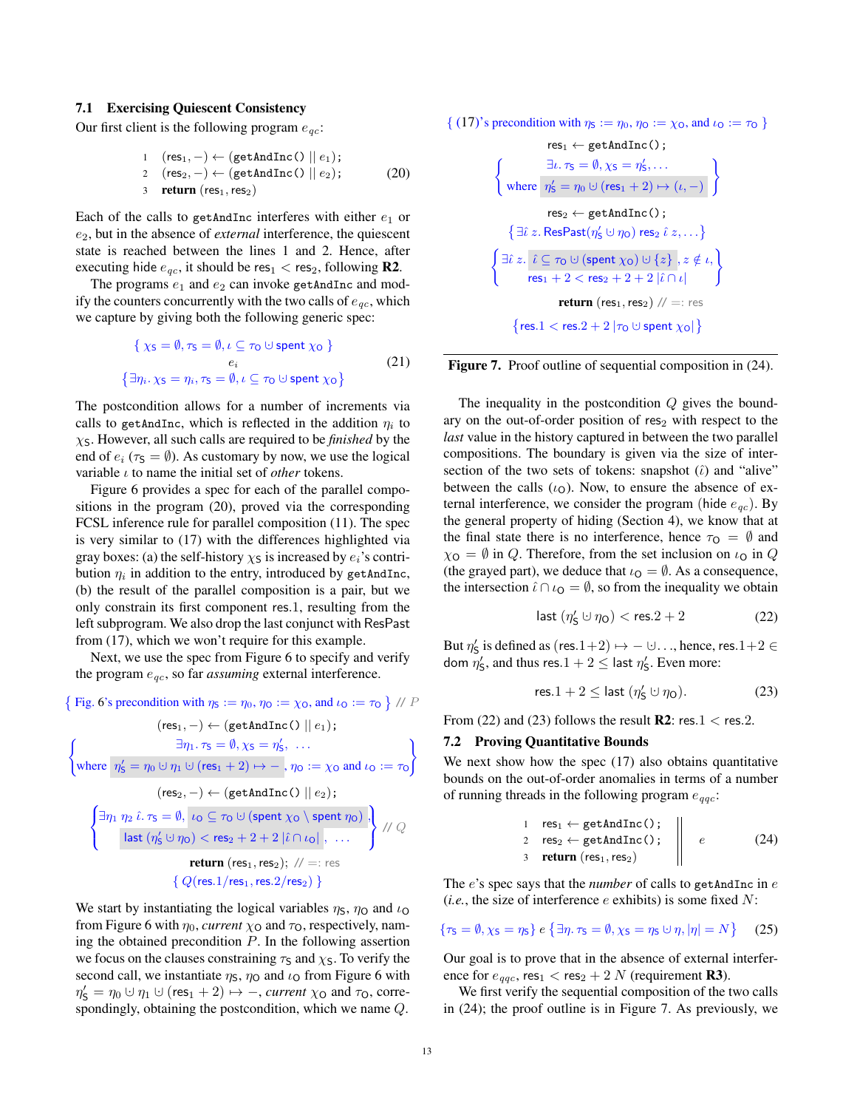#### 7.1 Exercising Quiescent Consistency

Our first client is the following program  $e_{ac}$ :

1 
$$
(res_1, -) \leftarrow (getAndInc() || e_1);
$$
  
\n2  $(res_2, -) \leftarrow (getAndInc() || e_2);$  (20)  
\n3 **return**  $(res_1, res_2)$ 

Each of the calls to getAndInc interferes with either  $e_1$  or e2, but in the absence of *external* interference, the quiescent state is reached between the lines 1 and 2. Hence, after executing hide  $e_{qc}$ , it should be res<sub>1</sub> < res<sub>2</sub>, following **R2**.

The programs  $e_1$  and  $e_2$  can invoke getAndInc and modify the counters concurrently with the two calls of  $e_{ac}$ , which we capture by giving both the following generic spec:

$$
\{ \chi_{\mathsf{S}} = \emptyset, \tau_{\mathsf{S}} = \emptyset, \iota \subseteq \tau_{\mathsf{O}} \cup \text{spent } \chi_{\mathsf{O}} \}
$$
  

$$
e_i
$$
  

$$
\{\exists \eta_i. \chi_{\mathsf{S}} = \eta_i, \tau_{\mathsf{S}} = \emptyset, \iota \subseteq \tau_{\mathsf{O}} \cup \text{spent } \chi_{\mathsf{O}} \}
$$
 (21)

The postcondition allows for a number of increments via calls to getAndInc, which is reflected in the addition  $\eta_i$  to  $\chi$ <sub>S</sub>. However, all such calls are required to be *finished* by the end of  $e_i$  ( $\tau_s = \emptyset$ ). As customary by now, we use the logical variable ι to name the initial set of *other* tokens.

Figure [6](#page-11-3) provides a spec for each of the parallel compositions in the program [\(20\)](#page-12-0), proved via the corresponding FCSL inference rule for parallel composition [\(11\)](#page-7-1). The spec is very similar to [\(17\)](#page-10-6) with the differences highlighted via gray boxes: (a) the self-history  $\chi_S$  is increased by  $e_i$ 's contribution  $\eta_i$  in addition to the entry, introduced by getAndInc, (b) the result of the parallel composition is a pair, but we only constrain its first component res.1, resulting from the left subprogram. We also drop the last conjunct with ResPast from [\(17\)](#page-10-6), which we won't require for this example.

Next, we use the spec from Figure [6](#page-11-3) to specify and verify the program  $e_{qc}$ , so far *assuming* external interference.



We start by instantiating the logical variables  $\eta_s$ ,  $\eta_o$  and  $\iota_o$ from Figure [6](#page-11-3) with  $\eta_0$ , *current*  $\chi_0$  and  $\tau_0$ , respectively, naming the obtained precondition  $P$ . In the following assertion we focus on the clauses constraining  $\tau_s$  and  $\chi_s$ . To verify the second call, we instantiate  $\eta_s$ ,  $\eta_o$  and  $\iota_o$  from Figure [6](#page-11-3) with  $\eta'_{\mathsf{S}} = \eta_0 \cup \eta_1 \cup (\mathsf{res}_1 + 2) \mapsto -, \textit{current} \chi_{\mathsf{O}} \text{ and } \tau_{\mathsf{O}}, \text{ corre-}$ spondingly, obtaining the postcondition, which we name Q.

<span id="page-12-0"></span>{ [\(17\)](#page-10-6)'s precondition with  $\eta_s := \eta_0$ ,  $\eta_0 := \chi_0$ , and  $\iota_0 := \tau_0$  }

$$
res_1 ← getAndInc();
$$
\n
$$
\left\{\n\begin{array}{l}\n\exists \iota.\tau_5 = \emptyset, \chi_5 = \eta'_5, \dots \\
\text{where } \eta'_5 = \eta_0 \cup (res_1 + 2) \mapsto (\iota, -)\n\end{array}\n\right\}
$$
\n
$$
res_2 ← getAndInc();
$$
\n
$$
\left\{\n\exists \hat{\iota} z. ResPost(\eta'_5 \cup \eta_0) res_2 \hat{\iota} z, \dots\n\right\}
$$
\n
$$
\left\{\n\begin{array}{l}\n\exists \hat{\iota} z. \hat{\iota} \subseteq \tau_0 \cup (\text{spent } \chi_0) \cup \{z\}, z \notin \iota, \\
res_1 + 2 < res_2 + 2 + 2 \mid \hat{\iota} \cap \iota\n\end{array}\n\right\}
$$
\n
$$
return (res_1, res_2) // =: res
$$
\n
$$
\left\{\nres.1 < res.2 + 2 \mid \tau_0 \cup \text{spent } \chi_0 \mid\right\}
$$

<span id="page-12-4"></span>Figure 7. Proof outline of sequential composition in [\(24\)](#page-12-1).

The inequality in the postcondition  $Q$  gives the boundary on the out-of-order position of  $res_2$  with respect to the *last* value in the history captured in between the two parallel compositions. The boundary is given via the size of intersection of the two sets of tokens: snapshot  $(i)$  and "alive" between the calls  $(\iota_{\Omega})$ . Now, to ensure the absence of external interference, we consider the program (hide  $e_{qc}$ ). By the general property of hiding (Section [4\)](#page-6-0), we know that at the final state there is no interference, hence  $\tau_{\mathsf{O}} = \emptyset$  and  $\chi_{\mathsf{O}} = \emptyset$  in Q. Therefore, from the set inclusion on  $\iota_{\mathsf{O}}$  in Q (the grayed part), we deduce that  $\iota_{\mathbf{O}} = \emptyset$ . As a consequence, the intersection  $\hat{\iota} \cap \iota_{\mathbf{Q}} = \emptyset$ , so from the inequality we obtain

<span id="page-12-2"></span>
$$
\mathsf{last}\left(\eta_{\mathsf{S}}^{\prime}\cup\eta_{\mathsf{O}}\right)<\mathsf{res}.2+2 \qquad \qquad (22)
$$

But  $\eta'_{\mathsf{S}}$  is defined as (res.1+2)  $\mapsto -\cup \dots$ , hence, res.1+2 ∈ dom  $\eta'_{\mathsf{S}},$  and thus res. $1+2 \leq$  last  $\eta'_{\mathsf{S}}.$  Even more:

<span id="page-12-3"></span>
$$
\text{res.1} + 2 \leq \text{last } (\eta_{\mathsf{S}}' \cup \eta_{\mathsf{O}}). \tag{23}
$$

From [\(22\)](#page-12-2) and [\(23\)](#page-12-3) follows the result  $\mathbb{R}2$ : res.1 < res.2.

#### <span id="page-12-6"></span>7.2 Proving Quantitative Bounds

We next show how the spec [\(17\)](#page-10-6) also obtains quantitative bounds on the out-of-order anomalies in terms of a number of running threads in the following program  $e_{qqc}$ :

<span id="page-12-5"></span><span id="page-12-1"></span>1 res<sub>1</sub> 
$$
\leftarrow
$$
 getAndInc();  
\n2 res<sub>2</sub>  $\leftarrow$  getAndInc();  
\n3 return (res<sub>1</sub>, res<sub>2</sub>)  
\n(e) (24)

The e's spec says that the *number* of calls to getAndInc in e (*i.e.*, the size of interference  $e$  exhibits) is some fixed  $N$ :

$$
\{\tau_{\mathsf{S}} = \emptyset, \chi_{\mathsf{S}} = \eta_{\mathsf{S}}\} \ e \{\exists \eta. \ \tau_{\mathsf{S}} = \emptyset, \chi_{\mathsf{S}} = \eta_{\mathsf{S}} \cup \eta, |\eta| = N\} \tag{25}
$$

Our goal is to prove that in the absence of external interference for  $e_{qqc}$ , res<sub>1</sub> < res<sub>2</sub> + 2 N (requirement **R3**).

We first verify the sequential composition of the two calls in [\(24\)](#page-12-1); the proof outline is in Figure [7.](#page-12-4) As previously, we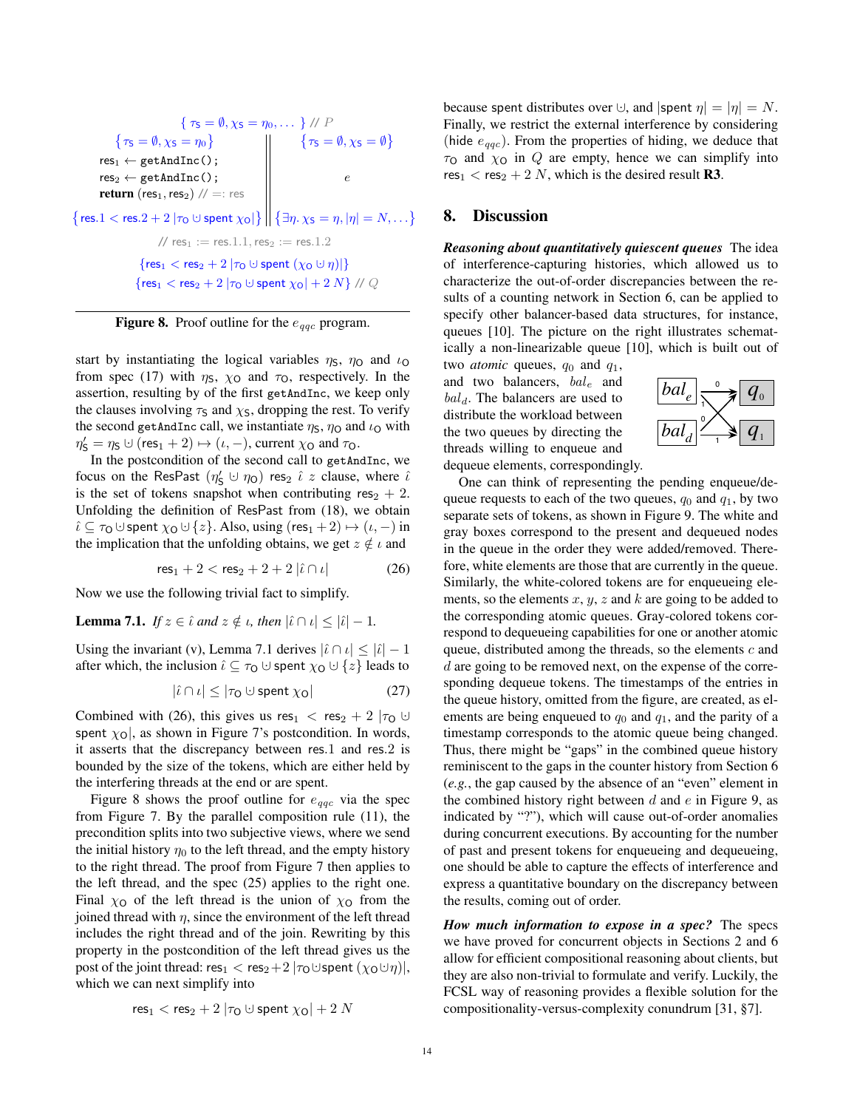$$
\{\tau_{\mathsf{S}} = \emptyset, \chi_{\mathsf{S}} = \eta_{0}, \dots \} \text{ // } P
$$
\n
$$
\{\tau_{\mathsf{S}} = \emptyset, \chi_{\mathsf{S}} = \eta_{0}\} \qquad \{\tau_{\mathsf{S}} = \emptyset, \chi_{\mathsf{S}} = \emptyset\}
$$
\n
$$
\text{res}_{1} \leftarrow \text{getAndInc();}
$$
\n
$$
\text{return (res}_{1}, \text{res}_{2}) \text{ // } =: \text{ res}
$$
\n
$$
\left\{\text{res}_{1} < \text{res}_{2} + 2 \mid \tau_{0} \cup \text{spent } \chi_{0} \mid \right\} \text{ and } \left\{\exists \eta. \chi_{\mathsf{S}} = \eta, |\eta| = N, \dots \right\}
$$
\n
$$
\text{ // } \text{res}_{1} := \text{res}_{1}.1, \text{ res}_{2} := \text{res}_{1}.2
$$
\n
$$
\left\{\text{res}_{1} < \text{res}_{2} + 2 \mid \tau_{0} \cup \text{spent } (\chi_{0} \cup \eta) \mid \right\}
$$
\n
$$
\left\{\text{res}_{1} < \text{res}_{2} + 2 \mid \tau_{0} \cup \text{spent } \chi_{0} \mid + 2 \text{ N} \right\} \text{ // } Q
$$

<span id="page-13-3"></span>**Figure 8.** Proof outline for the  $e_{qqc}$  program.

start by instantiating the logical variables  $\eta_s$ ,  $\eta_o$  and  $\iota_o$ from spec [\(17\)](#page-10-6) with  $\eta_s$ ,  $\chi_0$  and  $\tau_0$ , respectively. In the assertion, resulting by of the first getAndInc, we keep only the clauses involving  $\tau_s$  and  $\chi_s$ , dropping the rest. To verify the second getAndInc call, we instantiate  $\eta_s$ ,  $\eta_o$  and  $\iota_o$  with  $\eta'_{\mathsf{S}} = \eta_{\mathsf{S}} \cup (\mathsf{res}_1 + 2) \mapsto (\iota, -), \text{current } \chi_{\mathsf{O}} \text{ and } \tau_{\mathsf{O}}.$ 

In the postcondition of the second call to getAndInc, we focus on the ResPast  $(\eta_S' \cup \eta_O)$  res<sub>2</sub>  $\hat{\iota}$  z clause, where  $\hat{\iota}$ is the set of tokens snapshot when contributing res<sub>2</sub> + 2. Unfolding the definition of ResPast from [\(18\)](#page-11-2), we obtain  $\hat{\iota} \subseteq \tau_0 \cup$  spent  $\chi_0 \cup \{z\}$ . Also, using (res<sub>1</sub> + 2)  $\mapsto (\iota, -)$  in the implication that the unfolding obtains, we get  $z \notin \iota$  and

$$
res_1 + 2 < res_2 + 2 + 2 |i \cap \iota|
$$
 (26)

Now we use the following trivial fact to simplify.

<span id="page-13-1"></span>**Lemma 7.1.** *If*  $z \in \hat{\iota}$  *and*  $z \notin \iota$ *, then*  $|\hat{\iota} \cap \iota| < |\hat{\iota}| - 1$ *.* 

Using the invariant [\(v\),](#page-10-7) Lemma [7.1](#page-13-1) derives  $|\hat{i} \cap i| \leq |\hat{i}| - 1$ after which, the inclusion  $\hat{\iota} \subseteq \tau_0 \cup \text{ spent } \chi_0 \cup \{z\}$  leads to

$$
|\hat{\iota} \cap \iota| \le |\tau_0 \cup \text{spent } \chi_0| \tag{27}
$$

Combined with [\(26\)](#page-13-2), this gives us res<sub>1</sub> < res<sub>2</sub> + 2  $|\tau_0 \cup$ spent  $\chi_0$ , as shown in Figure [7'](#page-12-4)s postcondition. In words, it asserts that the discrepancy between res.1 and res.2 is bounded by the size of the tokens, which are either held by the interfering threads at the end or are spent.

Figure [8](#page-13-3) shows the proof outline for  $e_{qqc}$  via the spec from Figure [7.](#page-12-4) By the parallel composition rule [\(11\)](#page-7-1), the precondition splits into two subjective views, where we send the initial history  $\eta_0$  to the left thread, and the empty history to the right thread. The proof from Figure [7](#page-12-4) then applies to the left thread, and the spec [\(25\)](#page-12-5) applies to the right one. Final  $\chi_0$  of the left thread is the union of  $\chi_0$  from the joined thread with  $\eta$ , since the environment of the left thread includes the right thread and of the join. Rewriting by this property in the postcondition of the left thread gives us the post of the joint thread: res<sub>1</sub> < res<sub>2</sub> + 2  $|\tau_0 \cup$  spent  $(\chi_0 \cup \eta)|$ , which we can next simplify into

$$
\mathsf{res}_1 < \mathsf{res}_2 + 2 \left| \tau_\mathsf{O} \cup \mathsf{spent} \; \chi_\mathsf{O} \right| + 2 \, N
$$

because spent distributes over  $\cup$ , and  $|\text{spent } \eta| = |\eta| = N$ . Finally, we restrict the external interference by considering (hide  $e_{qqc}$ ). From the properties of hiding, we deduce that  $\tau$ <sup>O</sup> and  $\chi$ <sup>O</sup> in *Q* are empty, hence we can simplify into  $res_1$  < res<sub>2</sub> + 2 N, which is the desired result **R3**.

## <span id="page-13-0"></span>8. Discussion

*Reasoning about quantitatively quiescent queues* The idea of interference-capturing histories, which allowed us to characterize the out-of-order discrepancies between the results of a counting network in Section [6,](#page-8-0) can be applied to specify other balancer-based data structures, for instance, queues [\[10\]](#page-17-3). The picture on the right illustrates schematically a non-linearizable queue [\[10\]](#page-17-3), which is built out of

two *atomic* queues,  $q_0$  and  $q_1$ , and two balancers,  $bal_e$  and  $bal<sub>d</sub>$ . The balancers are used to distribute the workload between the two queues by directing the threads willing to enqueue and



dequeue elements, correspondingly. One can think of representing the pending enqueue/de-

<span id="page-13-2"></span>queue requests to each of the two queues,  $q_0$  and  $q_1$ , by two separate sets of tokens, as shown in Figure [9.](#page-14-2) The white and gray boxes correspond to the present and dequeued nodes in the queue in the order they were added/removed. Therefore, white elements are those that are currently in the queue. Similarly, the white-colored tokens are for enqueueing elements, so the elements  $x, y, z$  and  $k$  are going to be added to the corresponding atomic queues. Gray-colored tokens correspond to dequeueing capabilities for one or another atomic queue, distributed among the threads, so the elements  $c$  and d are going to be removed next, on the expense of the corresponding dequeue tokens. The timestamps of the entries in the queue history, omitted from the figure, are created, as elements are being enqueued to  $q_0$  and  $q_1$ , and the parity of a timestamp corresponds to the atomic queue being changed. Thus, there might be "gaps" in the combined queue history reminiscent to the gaps in the counter history from Section [6](#page-8-0) (*e.g.*, the gap caused by the absence of an "even" element in the combined history right between  $d$  and  $e$  in Figure [9,](#page-14-2) as indicated by "?"), which will cause out-of-order anomalies during concurrent executions. By accounting for the number of past and present tokens for enqueueing and dequeueing, one should be able to capture the effects of interference and express a quantitative boundary on the discrepancy between the results, coming out of order.

*How much information to expose in a spec?* The specs we have proved for concurrent objects in Sections [2](#page-1-0) and [6](#page-8-0) allow for efficient compositional reasoning about clients, but they are also non-trivial to formulate and verify. Luckily, the FCSL way of reasoning provides a flexible solution for the compositionality-versus-complexity conundrum [\[31,](#page-17-20) §7].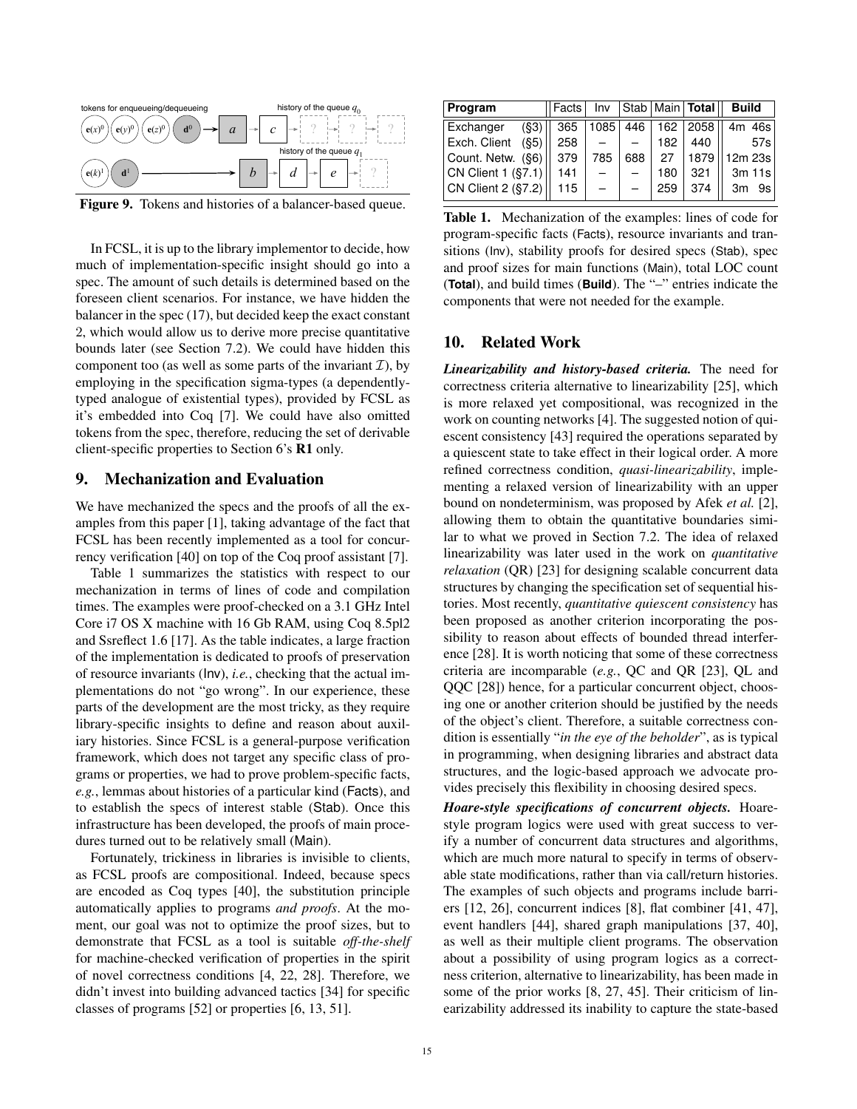

<span id="page-14-2"></span>Figure 9. Tokens and histories of a balancer-based queue.

In FCSL, it is up to the library implementor to decide, how much of implementation-specific insight should go into a spec. The amount of such details is determined based on the foreseen client scenarios. For instance, we have hidden the balancer in the spec [\(17\)](#page-10-6), but decided keep the exact constant 2, which would allow us to derive more precise quantitative bounds later (see Section [7.2\)](#page-12-6). We could have hidden this component too (as well as some parts of the invariant  $\mathcal{I}$ ), by employing in the specification sigma-types (a dependentlytyped analogue of existential types), provided by FCSL as it's embedded into Coq [\[7\]](#page-17-21). We could have also omitted tokens from the spec, therefore, reducing the set of derivable client-specific properties to Section [6'](#page-8-0)s R1 only.

### <span id="page-14-0"></span>9. Mechanization and Evaluation

We have mechanized the specs and the proofs of all the examples from this paper [\[1\]](#page-17-22), taking advantage of the fact that FCSL has been recently implemented as a tool for concurrency verification [\[40\]](#page-18-1) on top of the Coq proof assistant [\[7\]](#page-17-21).

Table [1](#page-14-3) summarizes the statistics with respect to our mechanization in terms of lines of code and compilation times. The examples were proof-checked on a 3.1 GHz Intel Core i7 OS X machine with 16 Gb RAM, using Coq 8.5pl2 and Ssreflect 1.6 [\[17\]](#page-17-23). As the table indicates, a large fraction of the implementation is dedicated to proofs of preservation of resource invariants (Inv), *i.e.*, checking that the actual implementations do not "go wrong". In our experience, these parts of the development are the most tricky, as they require library-specific insights to define and reason about auxiliary histories. Since FCSL is a general-purpose verification framework, which does not target any specific class of programs or properties, we had to prove problem-specific facts, *e.g.*, lemmas about histories of a particular kind (Facts), and to establish the specs of interest stable (Stab). Once this infrastructure has been developed, the proofs of main procedures turned out to be relatively small (Main).

<span id="page-14-1"></span>Fortunately, trickiness in libraries is invisible to clients, as FCSL proofs are compositional. Indeed, because specs are encoded as Coq types [\[40\]](#page-18-1), the substitution principle automatically applies to programs *and proofs*. At the moment, our goal was not to optimize the proof sizes, but to demonstrate that FCSL as a tool is suitable *off-the-shelf* for machine-checked verification of properties in the spirit of novel correctness conditions [\[4,](#page-17-2) [22,](#page-17-13) [28\]](#page-17-6). Therefore, we didn't invest into building advanced tactics [\[34\]](#page-17-24) for specific classes of programs [\[52\]](#page-18-4) or properties [\[6,](#page-17-25) [13,](#page-17-26) [51\]](#page-18-5).

| Program              | Facts | Inv  |     |     | Stab   Main   Total | <b>Build</b> |
|----------------------|-------|------|-----|-----|---------------------|--------------|
| Exchanger<br>(S3)    | 365   | 1085 | 446 |     | 162   2058          | 4m 46s       |
| Exch. Client<br>(S5) | 258   |      |     | 182 | 440                 | 57s          |
| Count. Netw. (§6)    | 379   | 785  | 688 | 27  | 1879                | 12m 23s      |
| CN Client 1 (§7.1)   | 141   |      |     | 180 | 321                 | 3m 11s       |
| CN Client 2 (§7.2)   | 115   |      |     | 259 | 374                 | 9s<br>3m     |

<span id="page-14-3"></span>Table 1. Mechanization of the examples: lines of code for program-specific facts (Facts), resource invariants and transitions (Inv), stability proofs for desired specs (Stab), spec and proof sizes for main functions (Main), total LOC count (**Total**), and build times (**Build**). The "–" entries indicate the components that were not needed for the example.

## 10. Related Work

*Linearizability and history-based criteria.* The need for correctness criteria alternative to linearizability [\[25\]](#page-17-0), which is more relaxed yet compositional, was recognized in the work on counting networks [\[4\]](#page-17-2). The suggested notion of quiescent consistency [\[43\]](#page-18-6) required the operations separated by a quiescent state to take effect in their logical order. A more refined correctness condition, *quasi-linearizability*, implementing a relaxed version of linearizability with an upper bound on nondeterminism, was proposed by Afek *et al.* [\[2\]](#page-17-4), allowing them to obtain the quantitative boundaries similar to what we proved in Section [7.2.](#page-12-6) The idea of relaxed linearizability was later used in the work on *quantitative relaxation* (QR) [\[23\]](#page-17-5) for designing scalable concurrent data structures by changing the specification set of sequential histories. Most recently, *quantitative quiescent consistency* has been proposed as another criterion incorporating the possibility to reason about effects of bounded thread interference [\[28\]](#page-17-6). It is worth noticing that some of these correctness criteria are incomparable (*e.g.*, QC and QR [\[23\]](#page-17-5), QL and QQC [\[28\]](#page-17-6)) hence, for a particular concurrent object, choosing one or another criterion should be justified by the needs of the object's client. Therefore, a suitable correctness condition is essentially "*in the eye of the beholder*", as is typical in programming, when designing libraries and abstract data structures, and the logic-based approach we advocate provides precisely this flexibility in choosing desired specs.

*Hoare-style specifications of concurrent objects.* Hoarestyle program logics were used with great success to verify a number of concurrent data structures and algorithms, which are much more natural to specify in terms of observable state modifications, rather than via call/return histories. The examples of such objects and programs include barriers [\[12,](#page-17-27) [26\]](#page-17-28), concurrent indices [\[8\]](#page-17-29), flat combiner [\[41,](#page-18-2) [47\]](#page-18-7), event handlers [\[44\]](#page-18-8), shared graph manipulations [\[37,](#page-17-30) [40\]](#page-18-1), as well as their multiple client programs. The observation about a possibility of using program logics as a correctness criterion, alternative to linearizability, has been made in some of the prior works [\[8,](#page-17-29) [27,](#page-17-31) [45\]](#page-18-9). Their criticism of linearizability addressed its inability to capture the state-based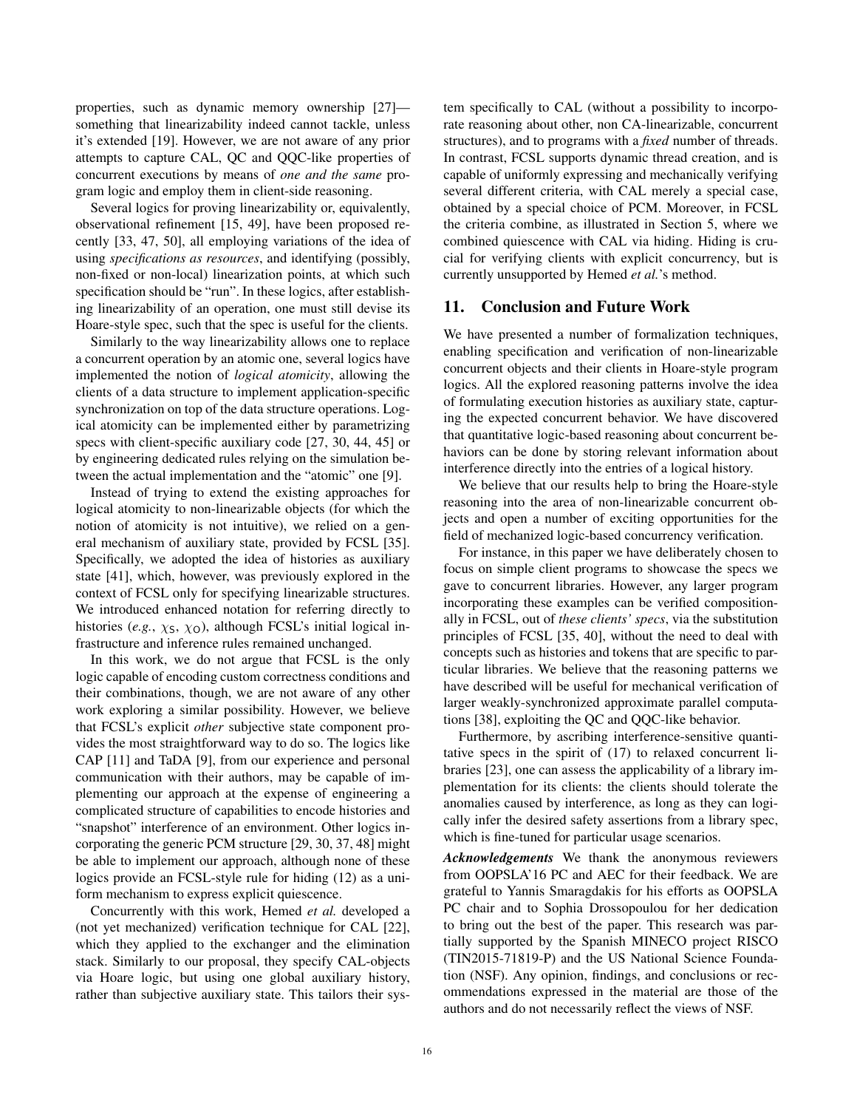properties, such as dynamic memory ownership [\[27\]](#page-17-31) something that linearizability indeed cannot tackle, unless it's extended [\[19\]](#page-17-32). However, we are not aware of any prior attempts to capture CAL, QC and QQC-like properties of concurrent executions by means of *one and the same* program logic and employ them in client-side reasoning.

Several logics for proving linearizability or, equivalently, observational refinement [\[15,](#page-17-33) [49\]](#page-18-10), have been proposed recently [\[33,](#page-17-34) [47,](#page-18-7) [50\]](#page-18-11), all employing variations of the idea of using *specifications as resources*, and identifying (possibly, non-fixed or non-local) linearization points, at which such specification should be "run". In these logics, after establishing linearizability of an operation, one must still devise its Hoare-style spec, such that the spec is useful for the clients.

Similarly to the way linearizability allows one to replace a concurrent operation by an atomic one, several logics have implemented the notion of *logical atomicity*, allowing the clients of a data structure to implement application-specific synchronization on top of the data structure operations. Logical atomicity can be implemented either by parametrizing specs with client-specific auxiliary code [\[27,](#page-17-31) [30,](#page-17-35) [44,](#page-18-8) [45\]](#page-18-9) or by engineering dedicated rules relying on the simulation between the actual implementation and the "atomic" one [\[9\]](#page-17-36).

Instead of trying to extend the existing approaches for logical atomicity to non-linearizable objects (for which the notion of atomicity is not intuitive), we relied on a general mechanism of auxiliary state, provided by FCSL [\[35\]](#page-17-9). Specifically, we adopted the idea of histories as auxiliary state [\[41\]](#page-18-2), which, however, was previously explored in the context of FCSL only for specifying linearizable structures. We introduced enhanced notation for referring directly to histories (*e.g.*,  $\chi$ s,  $\chi$ <sub>O</sub>), although FCSL's initial logical infrastructure and inference rules remained unchanged.

In this work, we do not argue that FCSL is the only logic capable of encoding custom correctness conditions and their combinations, though, we are not aware of any other work exploring a similar possibility. However, we believe that FCSL's explicit *other* subjective state component provides the most straightforward way to do so. The logics like CAP [\[11\]](#page-17-37) and TaDA [\[9\]](#page-17-36), from our experience and personal communication with their authors, may be capable of implementing our approach at the expense of engineering a complicated structure of capabilities to encode histories and "snapshot" interference of an environment. Other logics incorporating the generic PCM structure [\[29,](#page-17-38) [30,](#page-17-35) [37,](#page-17-30) [48\]](#page-18-12) might be able to implement our approach, although none of these logics provide an FCSL-style rule for hiding [\(12\)](#page-7-2) as a uniform mechanism to express explicit quiescence.

Concurrently with this work, Hemed *et al.* developed a (not yet mechanized) verification technique for CAL [\[22\]](#page-17-13), which they applied to the exchanger and the elimination stack. Similarly to our proposal, they specify CAL-objects via Hoare logic, but using one global auxiliary history, rather than subjective auxiliary state. This tailors their system specifically to CAL (without a possibility to incorporate reasoning about other, non CA-linearizable, concurrent structures), and to programs with a *fixed* number of threads. In contrast, FCSL supports dynamic thread creation, and is capable of uniformly expressing and mechanically verifying several different criteria, with CAL merely a special case, obtained by a special choice of PCM. Moreover, in FCSL the criteria combine, as illustrated in Section [5,](#page-7-0) where we combined quiescence with CAL via hiding. Hiding is crucial for verifying clients with explicit concurrency, but is currently unsupported by Hemed *et al.*'s method.

### <span id="page-15-0"></span>11. Conclusion and Future Work

We have presented a number of formalization techniques, enabling specification and verification of non-linearizable concurrent objects and their clients in Hoare-style program logics. All the explored reasoning patterns involve the idea of formulating execution histories as auxiliary state, capturing the expected concurrent behavior. We have discovered that quantitative logic-based reasoning about concurrent behaviors can be done by storing relevant information about interference directly into the entries of a logical history.

We believe that our results help to bring the Hoare-style reasoning into the area of non-linearizable concurrent objects and open a number of exciting opportunities for the field of mechanized logic-based concurrency verification.

For instance, in this paper we have deliberately chosen to focus on simple client programs to showcase the specs we gave to concurrent libraries. However, any larger program incorporating these examples can be verified compositionally in FCSL, out of *these clients' specs*, via the substitution principles of FCSL [\[35,](#page-17-9) [40\]](#page-18-1), without the need to deal with concepts such as histories and tokens that are specific to particular libraries. We believe that the reasoning patterns we have described will be useful for mechanical verification of larger weakly-synchronized approximate parallel computations [\[38\]](#page-17-17), exploiting the QC and QQC-like behavior.

Furthermore, by ascribing interference-sensitive quantitative specs in the spirit of [\(17\)](#page-10-6) to relaxed concurrent libraries [\[23\]](#page-17-5), one can assess the applicability of a library implementation for its clients: the clients should tolerate the anomalies caused by interference, as long as they can logically infer the desired safety assertions from a library spec, which is fine-tuned for particular usage scenarios.

<span id="page-15-1"></span>*Acknowledgements* We thank the anonymous reviewers from OOPSLA'16 PC and AEC for their feedback. We are grateful to Yannis Smaragdakis for his efforts as OOPSLA PC chair and to Sophia Drossopoulou for her dedication to bring out the best of the paper. This research was partially supported by the Spanish MINECO project RISCO (TIN2015-71819-P) and the US National Science Foundation (NSF). Any opinion, findings, and conclusions or recommendations expressed in the material are those of the authors and do not necessarily reflect the views of NSF.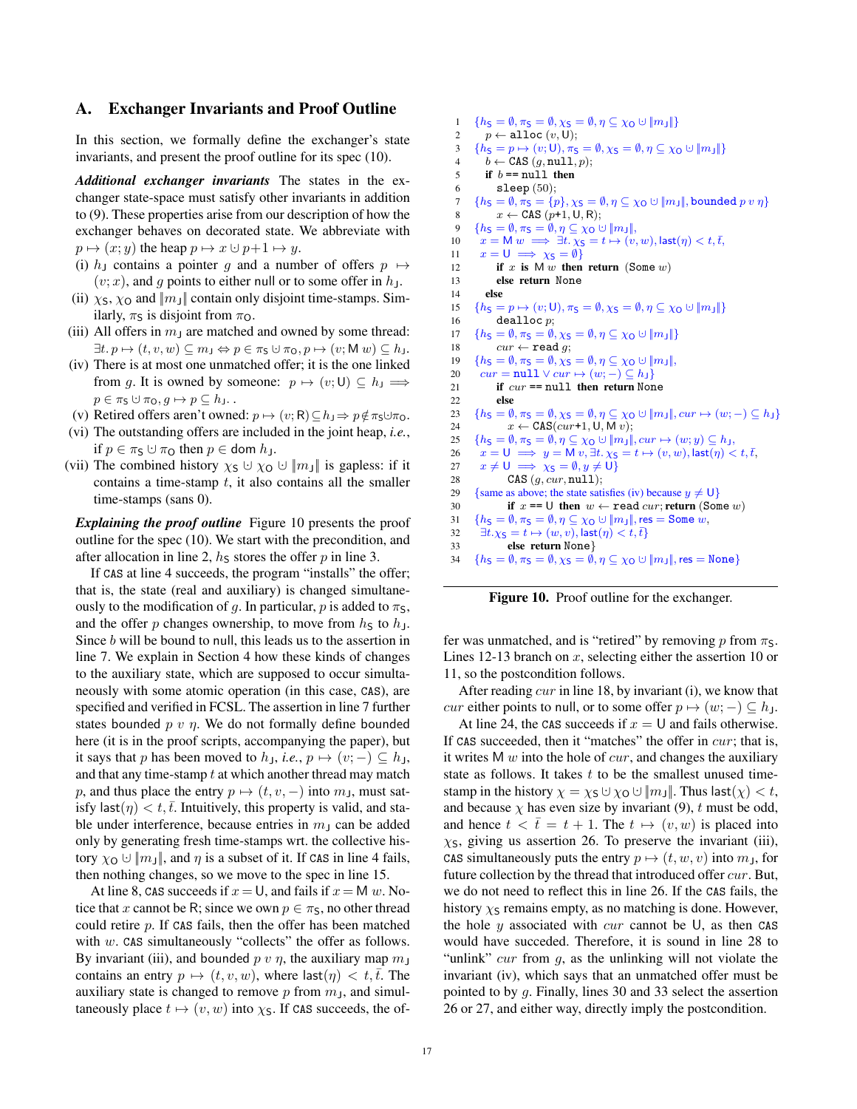## A. Exchanger Invariants and Proof Outline

In this section, we formally define the exchanger's state invariants, and present the proof outline for its spec [\(10\)](#page-6-3).

*Additional exchanger invariants* The states in the exchanger state-space must satisfy other invariants in addition to [\(9\)](#page-6-2). These properties arise from our description of how the exchanger behaves on decorated state. We abbreviate with  $p \mapsto (x; y)$  the heap  $p \mapsto x \cup p+1 \mapsto y$ .

- (i) h<sub>J</sub> contains a pointer g and a number of offers  $p \mapsto$  $(v; x)$ , and g points to either null or to some offer in  $h<sub>J</sub>$ .
- (ii)  $\chi$ <sub>S</sub>,  $\chi$ <sub>O</sub> and  $\|m_{\text{J}}\|$  contain only disjoint time-stamps. Similarly,  $\pi$ <sub>S</sub> is disjoint from  $\pi$ <sub>O</sub>.
- (iii) All offers in  $m<sub>J</sub>$  are matched and owned by some thread:  $\exists t. p \mapsto (t, v, w) \subseteq m_J \Leftrightarrow p \in \pi_S \cup \pi_O, p \mapsto (v; M w) \subseteq h_J.$
- (iv) There is at most one unmatched offer; it is the one linked from g. It is owned by someone:  $p \mapsto (v; 0) \subseteq h_J \Longrightarrow$  $p \in \pi_{\mathsf{S}} \cup \pi_{\mathsf{O}}, g \mapsto p \subseteq h_{\mathsf{J}}.$
- (v) Retired offers aren't owned:  $p \mapsto (v; R) \subseteq h_J \Rightarrow p \notin \pi_S \cup \pi_O$ .
- (vi) The outstanding offers are included in the joint heap, *i.e.*, if  $p \in \pi_{\mathsf{S}} \cup \pi_{\mathsf{O}}$  then  $p \in$  dom  $h_{\mathsf{J}}$ .
- (vii) The combined history  $\chi_S \cup \chi_O \cup \|m_J\|$  is gapless: if it contains a time-stamp  $t$ , it also contains all the smaller time-stamps (sans 0).

*Explaining the proof outline* Figure [10](#page-16-0) presents the proof outline for the spec [\(10\)](#page-6-3). We start with the precondition, and after allocation in line 2,  $h<sub>S</sub>$  stores the offer p in line 3.

If CAS at line 4 succeeds, the program "installs" the offer; that is, the state (real and auxiliary) is changed simultaneously to the modification of g. In particular, p is added to  $\pi$ <sub>S</sub>, and the offer p changes ownership, to move from  $h<sub>S</sub>$  to  $h<sub>J</sub>$ . Since  $b$  will be bound to null, this leads us to the assertion in line 7. We explain in Section [4](#page-6-0) how these kinds of changes to the auxiliary state, which are supposed to occur simultaneously with some atomic operation (in this case, CAS), are specified and verified in FCSL. The assertion in line 7 further states bounded  $p v \eta$ . We do not formally define bounded here (it is in the proof scripts, accompanying the paper), but it says that p has been moved to  $h_{\text{J}}$ , *i.e.*,  $p \mapsto (v; -) \subseteq h_{\text{J}}$ , and that any time-stamp  $t$  at which another thread may match p, and thus place the entry  $p \mapsto (t, v, -)$  into  $m_J$ , must satisfy last $(\eta) < t, \bar{t}$ . Intuitively, this property is valid, and stable under interference, because entries in  $m<sub>J</sub>$  can be added only by generating fresh time-stamps wrt. the collective history  $\chi_0 \cup ||m||$ , and  $\eta$  is a subset of it. If CAS in line 4 fails, then nothing changes, so we move to the spec in line 15.

At line 8, CAS succeeds if  $x = U$ , and fails if  $x = M w$ . Notice that x cannot be R; since we own  $p \in \pi_S$ , no other thread could retire  $p$ . If CAS fails, then the offer has been matched with  $w$ . CAS simultaneously "collects" the offer as follows. By invariant (iii), and bounded  $p \, v \, \eta$ , the auxiliary map  $m_J$ contains an entry  $p \mapsto (t, v, w)$ , where last $(\eta) < t, \overline{t}$ . The auxiliary state is changed to remove  $p$  from  $m<sub>J</sub>$ , and simultaneously place  $t \mapsto (v, w)$  into  $\chi$ s. If CAS succeeds, the of-

```
1 {h_S = \emptyset, \pi_S = \emptyset, \chi_S = \emptyset, \eta \subseteq \chi_O \cup ||m_J||}<br>2 n \leftarrow \text{alloc}(n, U):
               p \leftarrow \text{alloc}(v, \text{U});3 \{h_S = p \mapsto (v; 0), \pi_S = \emptyset, \chi_S = \emptyset, \eta \subseteq \chi_O \cup ||m_J||\}<br>4 b \leftarrow \text{CAS} (a, \text{null}, p):
              b \leftarrow CAS (g, \texttt{null}, p);
 5 if b == null then
 6 sleep (50);7 {h_S = \emptyset, \pi_S = \{p\}, \chi_S = \emptyset, \eta \subseteq \chi_O \cup \|m_J\|, bounded p v \eta\}<br>8 x \leftarrow \text{CAS} (n+1, l l, R).
                   x \leftarrow \texttt{CAS}(p+1, \texttt{U}, \texttt{R});9 {h_S = \emptyset, \pi_S = \emptyset, \eta \subseteq \chi_O \cup ||m_J||,<br>
10 x = M w \implies \exists t, \chi_S = t \mapsto (v,x = M w \implies \exists t.\, \chi_{\mathsf{S}} = t \mapsto (v, w), \mathsf{last}(\eta) < t, \overline{t},\,11 x = U \implies \chi_S = \emptyset<br>12 if x is M w then
                   if x is M w then return (Some w)
13 else return None
14 else
15 {h_S = p \mapsto (v; \mathsf{U}), \pi_S = \emptyset, \chi_S = \emptyset, \eta \subseteq \chi_{\mathsf{O}} \cup \|m_{\mathsf{J}}\|}16 dealloc p;
17 {h_{\mathsf{S}} = \emptyset, \pi_{\mathsf{S}} = \emptyset, \chi_{\mathsf{S}} = \emptyset, \eta \subseteq \chi_{\mathsf{O}} \cup \|m_{\mathsf{J}}\|}18 cur \leftarrow \texttt{read } g;19 \{h_S = \emptyset, \pi_S = \emptyset, \chi_S = \emptyset, \eta \subseteq \chi_O \cup \|m_J\|,<br>20 cur = \text{null} \vee cur \mapsto (w:-) \subseteq h_J\}cur = null \vee cur \mapsto (w; -) \subseteq h_121 if cur == null then return None<br>22 else
                   else
23 {h<sub>S</sub> = \emptyset, \pi<sub>S</sub> = \emptyset, \chi<sub>S</sub> = \emptyset, \eta \subseteq \chi<sub>O</sub> \cup ||m<sub>J</sub>||, cur \mapsto (w; -) \subseteq h<sub>J</sub>}24 x \leftarrow \text{CAS}(cur+1, \mathsf{U}, \mathsf{M} v);25 {h_S = \emptyset, \pi_S = \emptyset, \eta \subseteq \chi_0 \cup \|m_J\|, \text{cur} \mapsto (w; y) \subseteq h_J,26 x = 0 \implies y = M v, \exists t. \chi_5 = t \mapsto (v, w), \text{last}(\eta) < t, \overline{t},<br>
27 x \neq 0 \implies \chi_5 = \emptyset, y \neq 027 x \neq U \implies \chi_S = \emptyset, y \neq U<br>
28 CAS (a, cur, null):
28 CAS (g, cur, null);<br>29 {same as above: the state sati
29 {same as above; the state satisfies (iv) because y \neq 0}<br>30 if x == 0 then w \leftarrow \text{read } cur; return (Som
                        if x == \cup then w \leftarrow read cur; return (Some w)
31 {h_S = \emptyset, \pi_S = \emptyset, \eta \subseteq \chi_O \cup ||m_J||, res = Some w,<br>32 \exists t.\chi_S = t \mapsto (w,v), last(\eta) < t, \overline{t}}
32 \exists t.\chi_{\mathsf{S}} = t \mapsto (w, v), \textsf{last}(\eta) < t, \overline{t}<br>33 else return None
                        else return None}
34 {h_S = \emptyset, \pi_S = \emptyset, \chi_S = \emptyset, \eta \subseteq \chi_O \cup \|m_J\|, \text{res} = \text{None}}
```
<span id="page-16-0"></span>Figure 10. Proof outline for the exchanger.

fer was unmatched, and is "retired" by removing p from  $\pi$ s. Lines 12-13 branch on x, selecting either the assertion 10 or 11, so the postcondition follows.

After reading  $cur$  in line 18, by invariant (i), we know that *cur* either points to null, or to some offer  $p \mapsto (w; -) \subseteq h_J$ .

At line 24, the CAS succeeds if  $x = U$  and fails otherwise. If CAS succeeded, then it "matches" the offer in *cur*; that is, it writes M  $w$  into the hole of  $cur$ , and changes the auxiliary state as follows. It takes  $t$  to be the smallest unused timestamp in the history  $\chi = \chi_S \cup \chi_O \cup ||m_J||$ . Thus last $(\chi) < t$ , and because  $\chi$  has even size by invariant [\(9\)](#page-6-2), t must be odd, and hence  $t < \overline{t} = t + 1$ . The  $t \mapsto (v, w)$  is placed into  $\chi$ <sub>S</sub>, giving us assertion 26. To preserve the invariant (iii), CAS simultaneously puts the entry  $p \mapsto (t, w, v)$  into  $m<sub>J</sub>$ , for future collection by the thread that introduced offer *cur*. But, we do not need to reflect this in line 26. If the CAS fails, the history  $\chi$ s remains empty, as no matching is done. However, the hole  $y$  associated with cur cannot be U, as then CAS would have succeded. Therefore, it is sound in line 28 to "unlink"  $cur$  from  $g$ , as the unlinking will not violate the invariant (iv), which says that an unmatched offer must be pointed to by g. Finally, lines 30 and 33 select the assertion 26 or 27, and either way, directly imply the postcondition.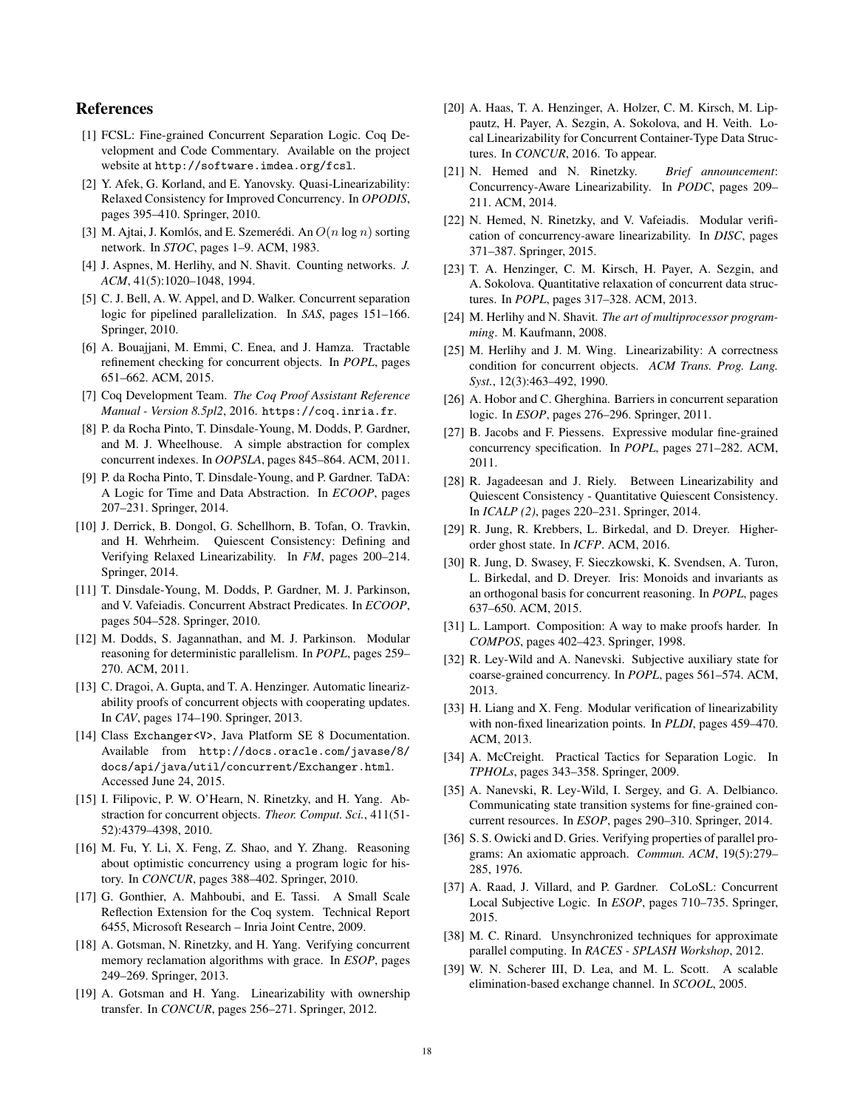# References

- <span id="page-17-22"></span>[1] FCSL: Fine-grained Concurrent Separation Logic. Coq Development and Code Commentary. Available on the project website at <http://software.imdea.org/fcsl>.
- <span id="page-17-4"></span>[2] Y. Afek, G. Korland, and E. Yanovsky. Quasi-Linearizability: Relaxed Consistency for Improved Concurrency. In *OPODIS*, pages 395–410. Springer, 2010.
- <span id="page-17-19"></span>[3] M. Ajtai, J. Komlós, and E. Szemerédi. An  $O(n \log n)$  sorting network. In *STOC*, pages 1–9. ACM, 1983.
- <span id="page-17-2"></span>[4] J. Aspnes, M. Herlihy, and N. Shavit. Counting networks. *J. ACM*, 41(5):1020–1048, 1994.
- <span id="page-17-10"></span>[5] C. J. Bell, A. W. Appel, and D. Walker. Concurrent separation logic for pipelined parallelization. In *SAS*, pages 151–166. Springer, 2010.
- <span id="page-17-25"></span>[6] A. Bouajjani, M. Emmi, C. Enea, and J. Hamza. Tractable refinement checking for concurrent objects. In *POPL*, pages 651–662. ACM, 2015.
- <span id="page-17-21"></span>[7] Coq Development Team. *The Coq Proof Assistant Reference Manual - Version 8.5pl2*, 2016. <https://coq.inria.fr>.
- <span id="page-17-29"></span>[8] P. da Rocha Pinto, T. Dinsdale-Young, M. Dodds, P. Gardner, and M. J. Wheelhouse. A simple abstraction for complex concurrent indexes. In *OOPSLA*, pages 845–864. ACM, 2011.
- <span id="page-17-36"></span>[9] P. da Rocha Pinto, T. Dinsdale-Young, and P. Gardner. TaDA: A Logic for Time and Data Abstraction. In *ECOOP*, pages 207–231. Springer, 2014.
- <span id="page-17-3"></span>[10] J. Derrick, B. Dongol, G. Schellhorn, B. Tofan, O. Travkin, and H. Wehrheim. Quiescent Consistency: Defining and Verifying Relaxed Linearizability. In *FM*, pages 200–214. Springer, 2014.
- <span id="page-17-37"></span>[11] T. Dinsdale-Young, M. Dodds, P. Gardner, M. J. Parkinson, and V. Vafeiadis. Concurrent Abstract Predicates. In *ECOOP*, pages 504–528. Springer, 2010.
- <span id="page-17-27"></span>[12] M. Dodds, S. Jagannathan, and M. J. Parkinson. Modular reasoning for deterministic parallelism. In *POPL*, pages 259– 270. ACM, 2011.
- <span id="page-17-26"></span>[13] C. Dragoi, A. Gupta, and T. A. Henzinger. Automatic linearizability proofs of concurrent objects with cooperating updates. In *CAV*, pages 174–190. Springer, 2013.
- <span id="page-17-15"></span>[14] Class Exchanger<V>, Java Platform SE 8 Documentation. Available from [http://docs.oracle.com/javase/8/](http://docs.oracle.com/javase/8/docs/api/java/util/concurrent/Exchanger.html) [docs/api/java/util/concurrent/Exchanger.html](http://docs.oracle.com/javase/8/docs/api/java/util/concurrent/Exchanger.html). Accessed June 24, 2015.
- <span id="page-17-33"></span>[15] I. Filipovic, P. W. O'Hearn, N. Rinetzky, and H. Yang. Abstraction for concurrent objects. *Theor. Comput. Sci.*, 411(51- 52):4379–4398, 2010.
- <span id="page-17-11"></span>[16] M. Fu, Y. Li, X. Feng, Z. Shao, and Y. Zhang. Reasoning about optimistic concurrency using a program logic for history. In *CONCUR*, pages 388–402. Springer, 2010.
- <span id="page-17-23"></span>[17] G. Gonthier, A. Mahboubi, and E. Tassi. A Small Scale Reflection Extension for the Coq system. Technical Report 6455, Microsoft Research – Inria Joint Centre, 2009.
- <span id="page-17-12"></span>[18] A. Gotsman, N. Rinetzky, and H. Yang. Verifying concurrent memory reclamation algorithms with grace. In *ESOP*, pages 249–269. Springer, 2013.
- <span id="page-17-32"></span>[19] A. Gotsman and H. Yang. Linearizability with ownership transfer. In *CONCUR*, pages 256–271. Springer, 2012.
- <span id="page-17-7"></span>[20] A. Haas, T. A. Henzinger, A. Holzer, C. M. Kirsch, M. Lippautz, H. Payer, A. Sezgin, A. Sokolova, and H. Veith. Local Linearizability for Concurrent Container-Type Data Structures. In *CONCUR*, 2016. To appear.
- <span id="page-17-1"></span>[21] N. Hemed and N. Rinetzky. *Brief announcement*: Concurrency-Aware Linearizability. In *PODC*, pages 209– 211. ACM, 2014.
- <span id="page-17-13"></span>[22] N. Hemed, N. Rinetzky, and V. Vafeiadis. Modular verification of concurrency-aware linearizability. In *DISC*, pages 371–387. Springer, 2015.
- <span id="page-17-5"></span>[23] T. A. Henzinger, C. M. Kirsch, H. Payer, A. Sezgin, and A. Sokolova. Quantitative relaxation of concurrent data structures. In *POPL*, pages 317–328. ACM, 2013.
- <span id="page-17-18"></span>[24] M. Herlihy and N. Shavit. *The art of multiprocessor programming*. M. Kaufmann, 2008.
- <span id="page-17-0"></span>[25] M. Herlihy and J. M. Wing. Linearizability: A correctness condition for concurrent objects. *ACM Trans. Prog. Lang. Syst.*, 12(3):463–492, 1990.
- <span id="page-17-28"></span>[26] A. Hobor and C. Gherghina. Barriers in concurrent separation logic. In *ESOP*, pages 276–296. Springer, 2011.
- <span id="page-17-31"></span>[27] B. Jacobs and F. Piessens. Expressive modular fine-grained concurrency specification. In *POPL*, pages 271–282. ACM, 2011.
- <span id="page-17-6"></span>[28] R. Jagadeesan and J. Riely. Between Linearizability and Quiescent Consistency - Quantitative Quiescent Consistency. In *ICALP (2)*, pages 220–231. Springer, 2014.
- <span id="page-17-38"></span>[29] R. Jung, R. Krebbers, L. Birkedal, and D. Dreyer. Higherorder ghost state. In *ICFP*. ACM, 2016.
- <span id="page-17-35"></span>[30] R. Jung, D. Swasey, F. Sieczkowski, K. Svendsen, A. Turon, L. Birkedal, and D. Dreyer. Iris: Monoids and invariants as an orthogonal basis for concurrent reasoning. In *POPL*, pages 637–650. ACM, 2015.
- <span id="page-17-20"></span>[31] L. Lamport. Composition: A way to make proofs harder. In *COMPOS*, pages 402–423. Springer, 1998.
- <span id="page-17-8"></span>[32] R. Ley-Wild and A. Nanevski. Subjective auxiliary state for coarse-grained concurrency. In *POPL*, pages 561–574. ACM, 2013.
- <span id="page-17-34"></span>[33] H. Liang and X. Feng. Modular verification of linearizability with non-fixed linearization points. In *PLDI*, pages 459–470. ACM, 2013.
- <span id="page-17-24"></span>[34] A. McCreight. Practical Tactics for Separation Logic. In *TPHOLs*, pages 343–358. Springer, 2009.
- <span id="page-17-9"></span>[35] A. Nanevski, R. Ley-Wild, I. Sergey, and G. A. Delbianco. Communicating state transition systems for fine-grained concurrent resources. In *ESOP*, pages 290–310. Springer, 2014.
- <span id="page-17-16"></span>[36] S. S. Owicki and D. Gries. Verifying properties of parallel programs: An axiomatic approach. *Commun. ACM*, 19(5):279– 285, 1976.
- <span id="page-17-30"></span>[37] A. Raad, J. Villard, and P. Gardner. CoLoSL: Concurrent Local Subjective Logic. In *ESOP*, pages 710–735. Springer, 2015.
- <span id="page-17-17"></span>[38] M. C. Rinard. Unsynchronized techniques for approximate parallel computing. In *RACES - SPLASH Workshop*, 2012.
- <span id="page-17-14"></span>[39] W. N. Scherer III, D. Lea, and M. L. Scott. A scalable elimination-based exchange channel. In *SCOOL*, 2005.